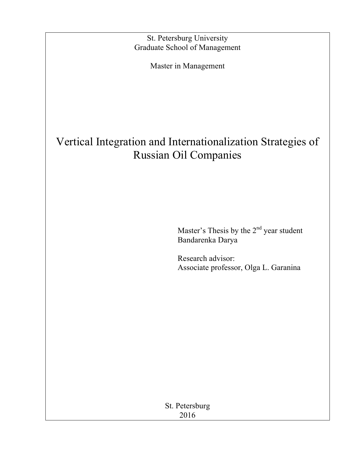St. Petersburg University Graduate School of Management

Master in Management

# Vertical Integration and Internationalization Strategies of Russian Oil Companies

Master's Thesis by the  $2<sup>nd</sup>$  year student Bandarenka Darya

Research advisor: Associate professor, Olga L. Garanina

St. Petersburg 2016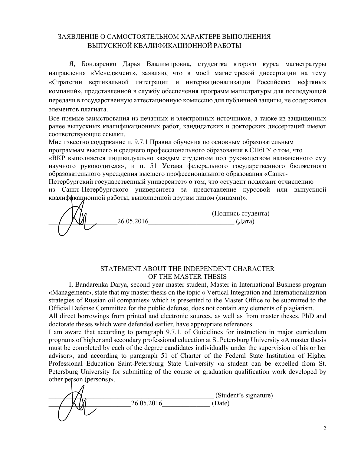## ЗАЯВЛЕНИЕ О САМОСТОЯТЕЛЬНОМ ХАРАКТЕРЕ ВЫПОЛНЕНИЯ ВЫПУСКНОЙ КВАЛИФИКАЦИОННОЙ РАБОТЫ

Я, Бондаренко Дарья Владимировна, студентка второго курса магистратуры направления «Менеджмент», заявляю, что в моей магистерской диссертации на тему «Стратегии вертикальной интеграции и интернационализации Российских нефтяных компаний», представленной в службу обеспечения программ магистратуры для последующей передачи в государственную аттестационную комиссию для публичной защиты, не содержится элементов плагиата.

Все прямые заимствования из печатных и электронных источников, а также из защищенных ранее выпускных квалификационных работ, кандидатских и докторских диссертаций имеют соответствующие ссылки.

Мне известно содержание п. 9.7.1 Правил обучения по основным образовательным программам высшего и среднего профессионального образования в СПбГУ о том, что «ВКР выполняется индивидуально каждым студентом под руководством назначенного ему научного руководителя», и п. 51 Устава федерального государственного бюджетного образовательного учреждения высшего профессионального образования «Санкт-

Петербургский государственный университет» о том, что «студент подлежит отчислению из Санкт-Петербургского университета за представление курсовой или выпускной квалификационной работы, выполненной другим лицом (лицами)».

 $\frac{26.05.2016}{\text{(Iaprac)}}$  (Подпись студента)  $(\text{A})$ 

## STATEMENT ABOUT THE INDEPENDENT CHARACTER OF THE MASTER THESIS

I, Bandarenka Darya, second year master student, Master in International Business program «Management», state that my master thesis on the topic « Vertical Integration and Internationalization strategies of Russian oil companies» which is presented to the Master Office to be submitted to the Official Defense Committee for the public defense, does not contain any elements of plagiarism.

All direct borrowings from printed and electronic sources, as well as from master theses, PhD and doctorate theses which were defended earlier, have appropriate references.

I am aware that according to paragraph 9.7.1. of Guidelines for instruction in major curriculum programs of higher and secondary professional education at St.Petersburg University «A master thesis must be completed by each of the degree candidates individually under the supervision of his or her advisor», and according to paragraph 51 of Charter of the Federal State Institution of Higher Professional Education Saint-Petersburg State University «a student can be expelled from St. Petersburg University for submitting of the course or graduation qualification work developed by other person (persons)».

\_\_\_\_\_\_\_\_\_\_\_\_\_\_\_\_\_\_\_\_\_\_\_\_\_\_\_\_\_\_\_\_\_\_\_\_\_\_\_\_\_\_\_\_\_\_\_\_ (Student's signature) \_\_\_\_\_\_\_\_\_\_\_\_\_\_\_\_\_\_\_\_\_\_\_\_26.05.2016\_\_\_\_\_\_\_\_\_\_\_\_\_\_ (Date)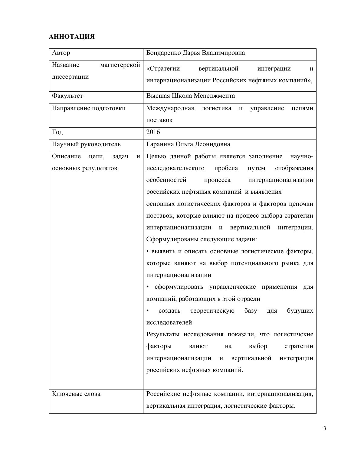## **АННОТАЦИЯ**

| Автор                           | Бондаренко Дарья Владимировна                                                  |  |  |  |
|---------------------------------|--------------------------------------------------------------------------------|--|--|--|
| Название<br>магистерской        | «Стратегии<br>вертикальной<br>интеграции<br>И                                  |  |  |  |
| диссертации                     | интернационализации Российских нефтяных компаний»,                             |  |  |  |
| Факультет                       | Высшая Школа Менеджмента                                                       |  |  |  |
| Направление подготовки          | Международная<br>логистика<br>управление<br>цепями<br>И                        |  |  |  |
|                                 | поставок                                                                       |  |  |  |
| Год                             | 2016                                                                           |  |  |  |
| Научный руководитель            | Гаранина Ольга Леонидовна                                                      |  |  |  |
| Описание<br>цели,<br>задач<br>И | Целью данной работы является заполнение<br>научно-                             |  |  |  |
| основных результатов            | пробела<br>отображения<br>исследовательского<br>путем                          |  |  |  |
|                                 | особенностей<br>процесса<br>интернационализации                                |  |  |  |
|                                 | российских нефтяных компаний и выявления                                       |  |  |  |
|                                 | основных логистических факторов и факторов цепочки                             |  |  |  |
|                                 | поставок, которые влияют на процесс выбора стратегии                           |  |  |  |
|                                 | вертикальной<br>интернационализации<br>интеграции.<br>И                        |  |  |  |
|                                 | Сформулированы следующие задачи:                                               |  |  |  |
|                                 | • выявить и описать основные логистические факторы,                            |  |  |  |
|                                 | которые влияют на выбор потенциального рынка для                               |  |  |  |
|                                 | интернационализации                                                            |  |  |  |
|                                 | сформулировать управленческие применения<br>٠<br>ДЛЯ                           |  |  |  |
|                                 | компаний, работающих в этой отрасли                                            |  |  |  |
|                                 | базу<br>будущих<br>теоретическую<br>ДЛЯ<br>создать<br>٠                        |  |  |  |
|                                 | исследователей                                                                 |  |  |  |
|                                 | Результаты исследования показали, что логистичские                             |  |  |  |
|                                 | факторы<br>выбор<br>на<br>стратегии<br>влиют                                   |  |  |  |
|                                 | вертикальной<br>интернационализации<br>интеграции<br>$\boldsymbol{\mathit{H}}$ |  |  |  |
|                                 | российских нефтяных компаний.                                                  |  |  |  |
|                                 |                                                                                |  |  |  |
| Ключевые слова                  | Российские нефтяные компании, интернационализация,                             |  |  |  |
|                                 | вертикальная интеграция, логистические факторы.                                |  |  |  |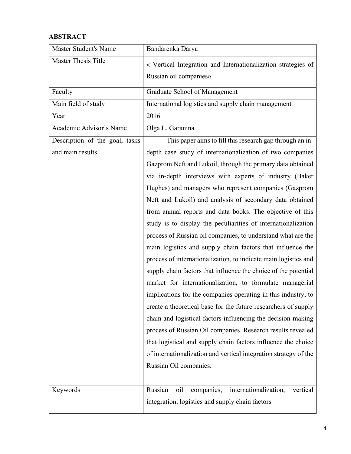## **ABSTRACT**

| <b>Master Student's Name</b>   | Bandarenka Darya                                                  |  |  |  |
|--------------------------------|-------------------------------------------------------------------|--|--|--|
| Master Thesis Title            | « Vertical Integration and Internationalization strategies of     |  |  |  |
|                                | Russian oil companies»                                            |  |  |  |
| Faculty                        | Graduate School of Management                                     |  |  |  |
| Main field of study            | International logistics and supply chain management               |  |  |  |
| Year                           | 2016                                                              |  |  |  |
| Academic Advisor's Name        | Olga L. Garanina                                                  |  |  |  |
| Description of the goal, tasks | This paper aims to fill this research gap through an in-          |  |  |  |
| and main results               | depth case study of internationalization of two companies         |  |  |  |
|                                | Gazprom Neft and Lukoil, through the primary data obtained        |  |  |  |
|                                | via in-depth interviews with experts of industry (Baker           |  |  |  |
|                                | Hughes) and managers who represent companies (Gazprom             |  |  |  |
|                                | Neft and Lukoil) and analysis of secondary data obtained          |  |  |  |
|                                | from annual reports and data books. The objective of this         |  |  |  |
|                                | study is to display the peculiarities of internationalization     |  |  |  |
|                                | process of Russian oil companies, to understand what are the      |  |  |  |
|                                | main logistics and supply chain factors that influence the        |  |  |  |
|                                | process of internationalization, to indicate main logistics and   |  |  |  |
|                                | supply chain factors that influence the choice of the potential   |  |  |  |
|                                | market for internationalization, to formulate managerial          |  |  |  |
|                                | implications for the companies operating in this industry, to     |  |  |  |
|                                | create a theoretical base for the future researchers of supply    |  |  |  |
|                                | chain and logistical factors influencing the decision-making      |  |  |  |
|                                | process of Russian Oil companies. Research results revealed       |  |  |  |
|                                | that logistical and supply chain factors influence the choice     |  |  |  |
|                                | of internationalization and vertical integration strategy of the  |  |  |  |
|                                | Russian Oil companies.                                            |  |  |  |
|                                |                                                                   |  |  |  |
| Keywords                       | Russian<br>companies,<br>internationalization,<br>oil<br>vertical |  |  |  |
|                                | integration, logistics and supply chain factors                   |  |  |  |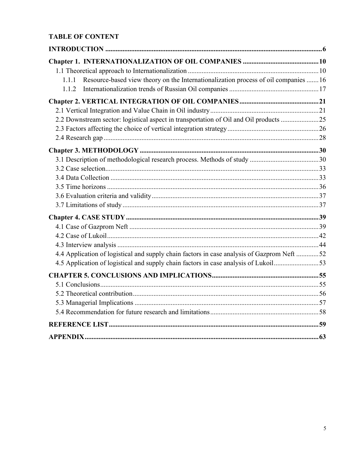## **TABLE OF CONTENT**

| 1.1.1 Resource-based view theory on the Internationalization process of oil companies  16  |  |
|--------------------------------------------------------------------------------------------|--|
| 1.1.2                                                                                      |  |
|                                                                                            |  |
|                                                                                            |  |
| 2.2 Downstream sector: logistical aspect in transportation of Oil and Oil products 25      |  |
|                                                                                            |  |
|                                                                                            |  |
|                                                                                            |  |
|                                                                                            |  |
|                                                                                            |  |
|                                                                                            |  |
|                                                                                            |  |
|                                                                                            |  |
|                                                                                            |  |
|                                                                                            |  |
|                                                                                            |  |
|                                                                                            |  |
|                                                                                            |  |
| 4.4 Application of logistical and supply chain factors in case analysis of Gazprom Neft 52 |  |
| 4.5 Application of logistical and supply chain factors in case analysis of Lukoil53        |  |
|                                                                                            |  |
|                                                                                            |  |
|                                                                                            |  |
|                                                                                            |  |
|                                                                                            |  |
|                                                                                            |  |
|                                                                                            |  |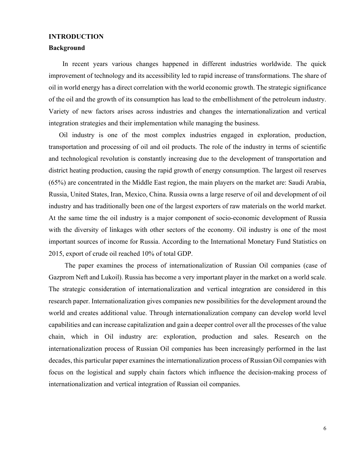#### **INTRODUCTION**

#### **Background**

 In recent years various changes happened in different industries worldwide. The quick improvement of technology and its accessibility led to rapid increase of transformations. The share of oil in world energy has a direct correlation with the world economic growth. The strategic significance of the oil and the growth of its consumption has lead to the embellishment of the petroleum industry. Variety of new factors arises across industries and changes the internationalization and vertical integration strategies and their implementation while managing the business.

Oil industry is one of the most complex industries engaged in exploration, production, transportation and processing of oil and oil products. The role of the industry in terms of scientific and technological revolution is constantly increasing due to the development of transportation and district heating production, causing the rapid growth of energy consumption. The largest oil reserves (65%) are concentrated in the Middle East region, the main players on the market are: Saudi Arabia, Russia, United States, Iran, Mexico, China. Russia owns a large reserve of oil and development of oil industry and has traditionally been one of the largest exporters of raw materials on the world market. At the same time the oil industry is a major component of socio-economic development of Russia with the diversity of linkages with other sectors of the economy. Oil industry is one of the most important sources of income for Russia. According to the International Monetary Fund Statistics on 2015, export of crude oil reached 10% of total GDP.

The paper examines the process of internationalization of Russian Oil companies (case of Gazprom Neft and Lukoil). Russia has become a very important player in the market on a world scale. The strategic consideration of internationalization and vertical integration are considered in this research paper. Internationalization gives companies new possibilities for the development around the world and creates additional value. Through internationalization company can develop world level capabilities and can increase capitalization and gain a deeper control over all the processes of the value chain, which in Oil industry are: exploration, production and sales. Research on the internationalization process of Russian Oil companies has been increasingly performed in the last decades, this particular paper examines the internationalization process of Russian Oil companies with focus on the logistical and supply chain factors which influence the decision-making process of internationalization and vertical integration of Russian oil companies.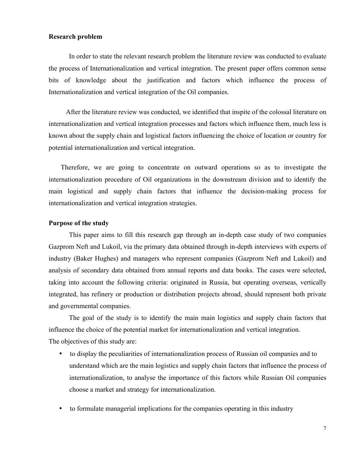#### **Research problem**

In order to state the relevant research problem the literature review was conducted to evaluate the process of Internationalization and vertical integration. The present paper offers common sense bits of knowledge about the justification and factors which influence the process of Internationalization and vertical integration of the Oil companies.

 After the literature review was conducted, we identified that inspite of the colossal literature on internationalization and vertical integration processes and factors which influence them, much less is known about the supply chain and logistical factors influencing the choice of location or country for potential internationalization and vertical integration.

Therefore, we are going to concentrate on outward operations so as to investigate the internationalization procedure of Oil organizations in the downstream division and to identify the main logistical and supply chain factors that influence the decision-making process for internationalization and vertical integration strategies.

#### **Purpose of the study**

This paper aims to fill this research gap through an in-depth case study of two companies Gazprom Neft and Lukoil, via the primary data obtained through in-depth interviews with experts of industry (Baker Hughes) and managers who represent companies (Gazprom Neft and Lukoil) and analysis of secondary data obtained from annual reports and data books. The cases were selected, taking into account the following criteria: originated in Russia, but operating overseas, vertically integrated, has refinery or production or distribution projects abroad, should represent both private and governmental companies.

The goal of the study is to identify the main main logistics and supply chain factors that influence the choice of the potential market for internationalization and vertical integration. The objectives of this study are:

- to display the peculiarities of internationalization process of Russian oil companies and to understand which are the main logistics and supply chain factors that influence the process of internationalization, to analyse the importance of this factors while Russian Oil companies choose a market and strategy for internationalization.
- to formulate managerial implications for the companies operating in this industry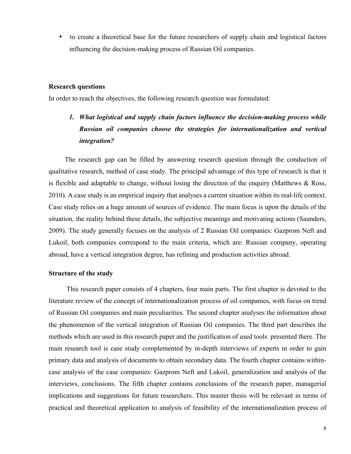• to create a theoretical base for the future researchers of supply chain and logistical factors influencing the decision-making process of Russian Oil companies.

#### **Research questions**

In order to reach the objectives, the following research question was formulated:

## *1. What logistical and supply chain factors influence the decision-making process while Russian oil companies choose the strategies for internationalization and vertical integration?*

The research gap can be filled by answering research question through the conduction of qualitative research, method of case study. The principal advantage of this type of research is that it is flexible and adaptable to change, without losing the direction of the enquiry (Matthews & Ross, 2010). A case study is an empirical inquiry that analyses a сurrent situation within its real-life context. Case study relies on a huge amount of sources of evidence. The main focus is upon the details of the situation, the reality behind these details, the subjective meanings and motivating actions (Saunders, 2009). The study generally focuses on the analysis of 2 Russian Oil companies: Gazprom Neft and Lukoil, both companies correspond to the main criteria, which are: Russian company, operating abroad, have a vertical integration degree, has refining and production activities abroad.

#### **Structure of the study**

 This research paper consists of 4 chapters, four main parts. The first chapter is devoted to the literature review of the concept of internationalization process of oil companies, with focus on trend of Russian Oil companies and main peculiarities. The second chapter analyses the information about the phenomenon of the vertical integration of Russian Oil companies. The third part describes the methods which are used in this research paper and the justification of used tools presented there. The main research tool is case study complemented by in-depth interviews of experts in order to gain primary data and analysis of documents to obtain secondary data. The fourth chapter contains withincase analysis of the case companies: Gazprom Neft and Lukoil, generalization and analysis of the interviews, conclusions. The fifth chapter contains conclusions of the research paper, managerial implications and suggestions for future researchers. This master thesis will be relevant in terms of practical and theoretical application to analysis of feasibility of the internationalization process of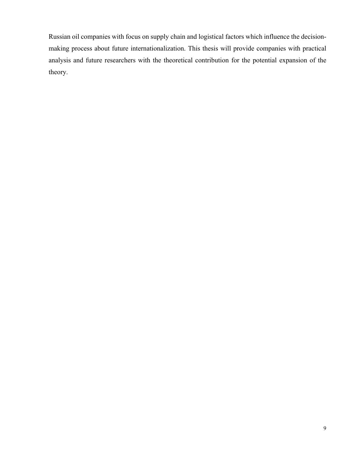Russian oil companies with focus on supply chain and logistical factors which influence the decisionmaking process about future internationalization. This thesis will provide companies with practical analysis and future researchers with the theoretical contribution for the potential expansion of the theory.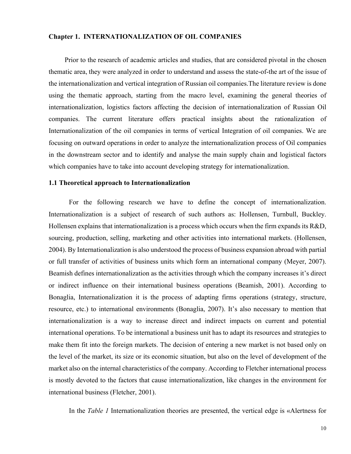#### **Chapter 1. INTERNATIONALIZATION OF OIL COMPANIES**

Prior to the research of academic articles and studies, that are considered pivotal in the chosen thematic area, they were analyzed in order to understand and assess the state-of-the art of the issue of the internationalization and vertical integration of Russian oil companies.The literature review is done using the thematic approach, starting from the macro level, examining the general theories of internationalization, logistics factors affecting the decision of internationalization of Russian Oil companies. The current literature offers practical insights about the rationalization of Internationalization of the oil companies in terms of vertical Integration of oil companies. We are focusing on outward operations in order to analyze the internationalization process of Oil companies in the downstream sector and to identify and analyse the main supply chain and logistical factors which companies have to take into account developing strategy for internationalization.

## **1.1 Theoretical approach to Internationalization**

For the following research we have to define the concept of internationalization. Internationalization is a subject of research of such authors as: Hollensen, Turnbull, Buckley. Hollensen explains that internationalization is a process which occurs when the firm expands its R&D, sourcing, production, selling, marketing and other activities into international markets. (Hollensen, 2004). By Internationalization is also understood the process of business expansion abroad with partial or full transfer of activities of business units which form an international company (Meyer, 2007). Beamish defines internationalization as the activities through which the company increases it's direct or indirect influence on their international business operations (Beamish, 2001). According to Bonaglia, Internationalization it is the process of adapting firms operations (strategy, structure, resource, etc.) to international environments (Bonaglia, 2007). It's also necessary to mention that internationalization is a way to increase direct and indirect impacts on current and potential international operations. To be international a business unit has to adapt its resources and strategies to make them fit into the foreign markets. The decision of entering a new market is not based only on the level of the market, its size or its economic situation, but also on the level of development of the market also on the internal characteristics of the company. According to Fletcher international process is mostly devoted to the factors that cause internationalization, like changes in the environment for international business (Fletcher, 2001).

In the *Table 1* Internationalization theories are presented, the vertical edge is «Alertness for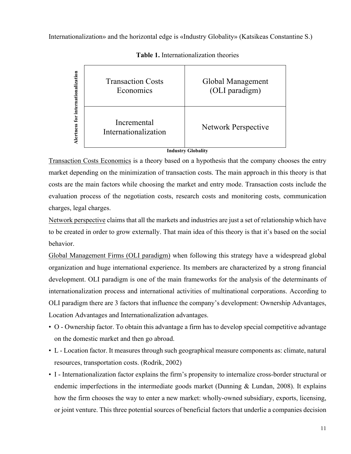Internationalization» and the horizontal edge is «Industry Globality» (Katsikeas Constantine S.)



**Table 1.** Internationalization theories

## **Industry Globality**

Transaction Costs Economics is a theory based on a hypothesis that the company chooses the entry market depending on the minimization of transaction costs. The main approach in this theory is that costs are the main factors while choosing the market and entry mode. Transaction costs include the evaluation process of the negotiation costs, research costs and monitoring costs, communication charges, legal charges.

Network perspective claims that all the markets and industries are just a set of relationship which have to be created in order to grow externally. That main idea of this theory is that it's based on the social behavior.

Global Management Firms (OLI paradigm) when following this strategy have a widespread global organization and huge international experience. Its members are characterized by a strong financial development. OLI paradigm is one of the main frameworks for the analysis of the determinants of internationalization process and international activities of multinational corporations. According to OLI paradigm there are 3 factors that influence the company's development: Ownership Advantages, Location Advantages and Internationalization advantages.

- O Ownership factor. To obtain this advantage a firm has to develop special competitive advantage on the domestic market and then go abroad.
- L Location factor. It measures through such geographical measure components as: climate, natural resources, transportation costs. (Rodrik, 2002)
- I Internationalization factor explains the firm's propensity to internalize cross-border structural or endemic imperfections in the intermediate goods market (Dunning & Lundan, 2008). It explains how the firm chooses the way to enter a new market: wholly-owned subsidiary, exports, licensing, or joint venture. This three potential sources of beneficial factors that underlie a companies decision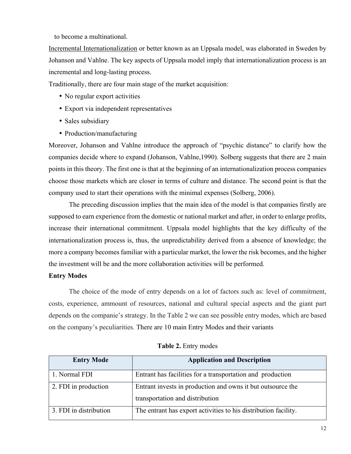to become a multinational.

Incremental Internationalization or better known as an Uppsala model, was elaborated in Sweden by Johanson and Vahlne. The key aspects of Uppsala model imply that internationalization process is an incremental and long-lasting process.

Traditionally, there are four main stage of the market acquisition:

- No regular export activities
- Export via independent representatives
- Sales subsidiary
- Production/manufacturing

Moreover, Johanson and Vahlne introduce the approach of "psychic distance" to clarify how the companies decide where to expand (Johanson, Vahlne,1990). Solberg suggests that there are 2 main points in this theory. The first one is that at the beginning of an internationalization process companies choose those markets which are closer in terms of culture and distance. The second point is that the company used to start their operations with the minimal expenses (Solberg, 2006).

The preceding discussion implies that the main idea of the model is that companies firstly are supposed to earn experience from the domestic or national market and after, in order to enlarge profits, increase their international commitment. Uppsala model highlights that the key difficulty of the internationalization process is, thus, the unpredictability derived from a absence of knowledge; the more a company becomes familiar with a particular market, the lower the risk becomes, and the higher the investment will be and the more collaboration activities will be performed.

#### **Entry Modes**

The choice of the mode of entry depends on a lot of factors such as: level of commitment, costs, experience, ammount of resources, national and cultural special aspects and the giant part depends on the companie's strategy. In the Table 2 we can see possible entry modes, which are based on the company's peculiarities. There are 10 main Entry Modes and their variants

| <b>Entry Mode</b>      | <b>Application and Description</b>                                                             |
|------------------------|------------------------------------------------------------------------------------------------|
| 1. Normal FDI          | Entrant has facilities for a transportation and production                                     |
| 2. FDI in production   | Entrant invests in production and owns it but outsource the<br>transportation and distribution |
| 3. FDI in distribution | The entrant has export activities to his distribution facility.                                |

| Table 2. Entry modes |  |  |
|----------------------|--|--|
|----------------------|--|--|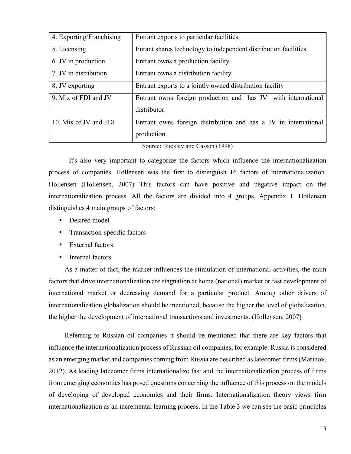| 4. Exporting/Franchising | Entrant exports to particular facilities.                                     |  |
|--------------------------|-------------------------------------------------------------------------------|--|
| 5. Licensing             | Enrant shares technology to independent distribution facilities               |  |
| 6. JV in production      | Entrant owns a production facility                                            |  |
| 7. JV in distribution    | Entrant owns a distribution facility                                          |  |
| 8. JV exporting          | Entrant exports to a jointly owned distribution facility                      |  |
| 9. Mix of FDI and JV     | Entrant owns foreign production and has JV with international<br>distributor. |  |
| 10. Mix of JV and FDI    | Entrant owns foreign distribution and has a JV in international<br>production |  |

Source: Buckley and Casson (1998)

It's also very important to categorize the factors which influence the internationalization process of companies. Hollensen was the first to distinguish 16 factors of internationalization. Hollensen (Hollensen, 2007) This factors can have positive and negative impact on the internationalization process. All the factors are divided into 4 groups, Appendix 1. Hollensen distinguishes 4 main groups of factors:

- Desired model
- Transaction-specific factors
- External factors
- Internal factors

As a matter of fact, the market influences the stimulation of international activities, the main factors that drive internationalization are stagnation at home (national) market or fast development of international market or decreasing demand for a particular product. Among other drivers of internationalization globalization should be mentioned, because the higher the level of globalization, the higher the development of international transactions and investments. (Hollensen, 2007)

Referring to Russian oil companies it should be mentioned that there are key factors that influence the internationalization process of Russian oil companies, for example: Russia is considered as an emerging market and companies coming from Russia are described as latecomer firms (Marinov, 2012). As leading latecomer firms internationalize fast and the internationalization process of firms from emerging economies has posed questions concerning the influence of this process on the models of developing of developed economies and their firms. Internationalization theory views firm internationalization as an incremental learning process. In the Table 3 we can see the basic principles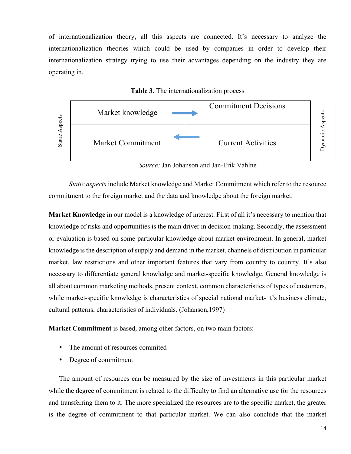of internationalization theory, all this aspects are connected. It's necessary to analyze the internationalization theories which could be used by companies in order to develop their internationalization strategy trying to use their advantages depending on the industry they are operating in.





*Source:* Jan Johanson and Jan-Erik Vahlne

*Static aspects* include Market knowledge and Market Commitment which refer to the resource commitment to the foreign market and the data and knowledge about the foreign market.

**Market Knowledge** in our model is a knowledge of interest. First of all it's necessary to mention that knowledge of risks and opportunities is the main driver in decision-making. Secondly, the assessment or evaluation is based on some particular knowledge about market environment. In general, market knowledge is the description of supply and demand in the market, channels of distribution in particular market, law restrictions and other important features that vary from country to country. It's also necessary to differentiate general knowledge and market-specific knowledge. General knowledge is all about common marketing methods, present context, common characteristics of types of customers, while market-specific knowledge is characteristics of special national market- it's business climate, cultural patterns, characteristics of individuals. (Johanson,1997)

**Market Commitment** is based, among other factors, on two main factors:

- The amount of resources commited
- Degree of commitment

The amount of resources can be measured by the size of investments in this particular market while the degree of commitment is related to the difficulty to find an alternative use for the resources and transferring them to it. The more specialized the resources are to the specific market, the greater is the degree of commitment to that particular market. We can also conclude that the market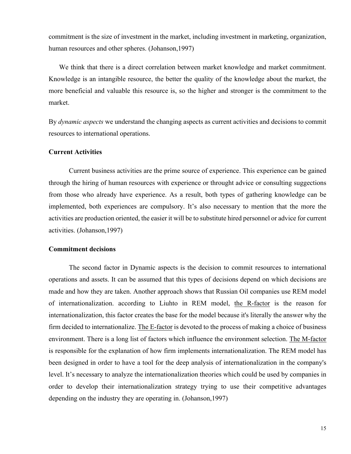commitment is the size of investment in the market, including investment in marketing, organization, human resources and other spheres. (Johanson,1997)

We think that there is a direct correlation between market knowledge and market commitment. Knowledge is an intangible resource, the better the quality of the knowledge about the market, the more beneficial and valuable this resource is, so the higher and stronger is the commitment to the market.

By *dynamic aspects* we understand the changing aspects as current activities and decisions to commit resources to international operations.

## **Current Activities**

Current business activities are the prime source of experience. This experience can be gained through the hiring of human resources with experience or throught advice or consulting suggections from those who already have experience. As a result, both types of gathering knowledge can be implemented, both experiences are compulsory. It's also necessary to mention that the more the activities are production oriented, the easier it will be to substitute hired personnel or advice for current activities. (Johanson,1997)

## **Commitment decisions**

The second factor in Dynamic aspects is the decision to commit resources to international operations and assets. It can be assumed that this types of decisions depend on which decisions are made and how they are taken. Another approach shows that Russian Oil companies use REM model of internationalization. according to Liuhto in REM model, the R-factor is the reason for internationalization, this factor creates the base for the model because it's literally the answer why the firm decided to internationalize. The E-factor is devoted to the process of making a choice of business environment. There is a long list of factors which influence the environment selection. The M-factor is responsible for the explanation of how firm implements internationalization. The REM model has been designed in order to have a tool for the deep analysis of internationalization in the company's level. It's necessary to analyze the internationalization theories which could be used by companies in order to develop their internationalization strategy trying to use their competitive advantages depending on the industry they are operating in. (Johanson,1997)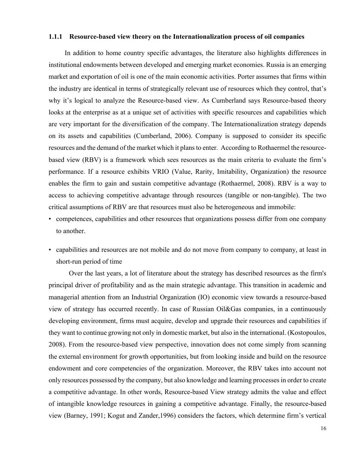#### **1.1.1 Resource-based view theory on the Internationalization process of oil companies**

In addition to home country specific advantages, the literature also highlights differences in institutional endowments between developed and emerging market economies. Russia is an emerging market and exportation of oil is one of the main economic activities. Porter assumes that firms within the industry are identical in terms of strategically relevant use of resources which they control, that's why it's logical to analyze the Resource-based view. As Cumberland says Resource-based theory looks at the enterprise as at a unique set of activities with specific resources and capabilities which are very important for the diversification of the company. The Internationalization strategy depends on its assets and capabilities (Cumberland, 2006). Company is supposed to consider its specific resources and the demand of the market which it plans to enter. According to Rothaermel the resourcebased view (RBV) is a framework which sees resources as the main criteria to evaluate the firm's performance. If a resource exhibits VRIO (Value, Rarity, Imitability, Organization) the resource enables the firm to gain and sustain competitive advantage (Rothaermel, 2008). RBV is a way to access to achieving competitive advantage through resources (tangible or non-tangible). The two critical assumptions of RBV are that resources must also be heterogeneous and immobile:

- competences, capabilities and other resources that organizations possess differ from one company to another.
- capabilities and resources are not mobile and do not move from company to company, at least in short-run period of time

Over the last years, a lot of literature about the strategy has described resources as the firm's principal driver of profitability and as the main strategic advantage. This transition in academic and managerial attention from an Industrial Organization (IO) economic view towards a resource-based view of strategy has occurred recently. In case of Russian Oil&Gas companies, in a continuously developing environment, firms must acquire, develop and upgrade their resources and capabilities if they want to continue growing not only in domestic market, but also in the international. (Kostopoulos, 2008). From the resource-based view perspective, innovation does not come simply from scanning the external environment for growth opportunities, but from looking inside and build on the resource endowment and core competencies of the organization. Moreover, the RBV takes into account not only resources possessed by the company, but also knowledge and learning processes in order to create a competitive advantage. In other words, Resource-based View strategy admits the value and effect of intangible knowledge resources in gaining a competitive advantage. Finally, the resource-based view (Barney, 1991; Kogut and Zander,1996) considers the factors, which determine firm's vertical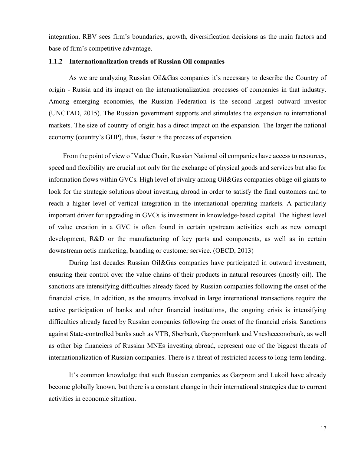integration. RBV sees firm's boundaries, growth, diversification decisions as the main factors and base of firm's competitive advantage.

## **1.1.2 Internationalization trends of Russian Oil companies**

As we are analyzing Russian Oil&Gas companies it's necessary to describe the Country of origin - Russia and its impact on the internationalization processes of companies in that industry. Among emerging economies, the Russian Federation is the second largest outward investor (UNCTAD, 2015). The Russian government supports and stimulates the expansion to international markets. The size of country of origin has a direct impact on the expansion. The larger the national economy (country's GDP), thus, faster is the process of expansion.

From the point of view of Value Chain, Russian National oil companies have access to resources, speed and flexibility are crucial not only for the exchange of physical goods and services but also for information flows within GVCs. High level of rivalry among Oil&Gas companies oblige oil giants to look for the strategic solutions about investing abroad in order to satisfy the final customers and to reach a higher level of vertical integration in the international operating markets. A particularly important driver for upgrading in GVCs is investment in knowledge-based capital. The highest level of value creation in a GVC is often found in certain upstream activities such as new concept development, R&D or the manufacturing of key parts and components, as well as in certain downstream actis marketing, branding or customer service. (OECD, 2013)

During last decades Russian Oil&Gas companies have participated in outward investment, ensuring their control over the value chains of their products in natural resources (mostly oil). The sanctions are intensifying difficulties already faced by Russian companies following the onset of the financial crisis. In addition, as the amounts involved in large international transactions require the active participation of banks and other financial institutions, the ongoing crisis is intensifying difficulties already faced by Russian companies following the onset of the financial crisis. Sanctions against State-controlled banks such as VTB, Sberbank, Gazprombank and Vnesheeconobank, as well as other big financiers of Russian MNEs investing abroad, represent one of the biggest threats of internationalization of Russian companies. There is a threat of restricted access to long-term lending.

It's common knowledge that such Russian companies as Gazprom and Lukoil have already become globally known, but there is a constant change in their international strategies due to current activities in economic situation.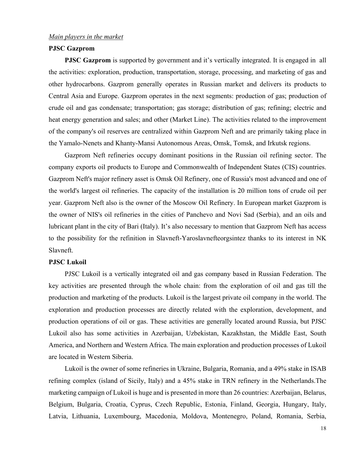### **PJSC Gazprom**

**PJSC Gazprom** is supported by government and it's vertically integrated. It is engaged in all the activities: exploration, production, transportation, storage, processing, and marketing of gas and other hydrocarbons. Gazprom generally operates in Russian market and delivers its products to Central Asia and Europe. Gazprom operates in the next segments: production of gas; production of crude oil and gas condensate; transportation; gas storage; distribution of gas; refining; electric and heat energy generation and sales; and other (Market Line). The activities related to the improvement of the company's oil reserves are centralized within Gazprom Neft and are primarily taking place in the Yamalo-Nenets and Khanty-Mansi Autonomous Areas, Omsk, Tomsk, and Irkutsk regions.

Gazprom Neft refineries occupy dominant positions in the Russian oil refining sector. The company exports oil products to Europe and Commonwealth of Independent States (CIS) countries. Gazprom Neft's major refinery asset is Omsk Oil Refinery, one of Russia's most advanced and one of the world's largest oil refineries. The capacity of the installation is 20 million tons of crude oil per year. Gazprom Neft also is the owner of the Moscow Oil Refinery. In European market Gazprom is the owner of NIS's oil refineries in the cities of Panchevo and Novi Sad (Serbia), and an oils and lubricant plant in the city of Bari (Italy). It's also necessary to mention that Gazprom Neft has access to the possibility for the refinition in Slavneft-Yaroslavnefteorgsintez thanks to its interest in NK Slavneft.

#### **PJSC Lukoil**

PJSC Lukoil is a vertically integrated oil and gas company based in Russian Federation. The key activities are presented through the whole chain: from the exploration of oil and gas till the production and marketing of the products. Lukoil is the largest private oil company in the world. The exploration and production processes are directly related with the exploration, development, and production operations of oil or gas. These activities are generally located around Russia, but PJSC Lukoil also has some activities in Azerbaijan, Uzbekistan, Kazakhstan, the Middle East, South America, and Northern and Western Africa. The main exploration and production processes of Lukoil are located in Western Siberia.

Lukoil is the owner of some refineries in Ukraine, Bulgaria, Romania, and a 49% stake in ISAB refining complex (island of Sicily, Italy) and a 45% stake in TRN refinery in the Netherlands.The marketing campaign of Lukoil is huge and is presented in more than 26 countries: Azerbaijan, Belarus, Belgium, Bulgaria, Croatia, Cyprus, Czech Republic, Estonia, Finland, Georgia, Hungary, Italy, Latvia, Lithuania, Luxembourg, Macedonia, Moldova, Montenegro, Poland, Romania, Serbia,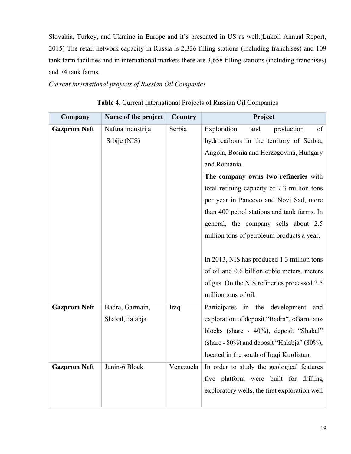Slovakia, Turkey, and Ukraine in Europe and it's presented in US as well.(Lukoil Annual Report, 2015) The retail network capacity in Russia is 2,336 filling stations (including franchises) and 109 tank farm facilities and in international markets there are 3,658 filling stations (including franchises) and 74 tank farms.

*Current international projects of Russian Oil Companies*

| Company             | Name of the project | Country   | Project                                       |
|---------------------|---------------------|-----------|-----------------------------------------------|
| <b>Gazprom Neft</b> | Naftna industrija   | Serbia    | Exploration<br>production<br>and<br>of        |
|                     | Srbije (NIS)        |           | hydrocarbons in the territory of Serbia,      |
|                     |                     |           | Angola, Bosnia and Herzegovina, Hungary       |
|                     |                     |           | and Romania.                                  |
|                     |                     |           | The company owns two refineries with          |
|                     |                     |           | total refining capacity of 7.3 million tons   |
|                     |                     |           | per year in Pancevo and Novi Sad, more        |
|                     |                     |           | than 400 petrol stations and tank farms. In   |
|                     |                     |           | general, the company sells about 2.5          |
|                     |                     |           | million tons of petroleum products a year.    |
|                     |                     |           |                                               |
|                     |                     |           | In 2013, NIS has produced 1.3 million tons    |
|                     |                     |           | of oil and 0.6 billion cubic meters. meters   |
|                     |                     |           | of gas. On the NIS refineries processed 2.5   |
|                     |                     |           | million tons of oil.                          |
| <b>Gazprom Neft</b> | Badra, Garmain,     | Iraq      | Participates in the development<br>and        |
|                     | Shakal, Halabja     |           | exploration of deposit "Badra", «Garmian»     |
|                     |                     |           | blocks (share - 40%), deposit "Shakal"        |
|                     |                     |           | (share - 80%) and deposit "Halabja" (80%),    |
|                     |                     |           | located in the south of Iraqi Kurdistan.      |
| <b>Gazprom Neft</b> | Junin-6 Block       | Venezuela | In order to study the geological features     |
|                     |                     |           | five platform were built for drilling         |
|                     |                     |           | exploratory wells, the first exploration well |
|                     |                     |           |                                               |

| Table 4. Current International Projects of Russian Oil Companies |  |  |
|------------------------------------------------------------------|--|--|
|------------------------------------------------------------------|--|--|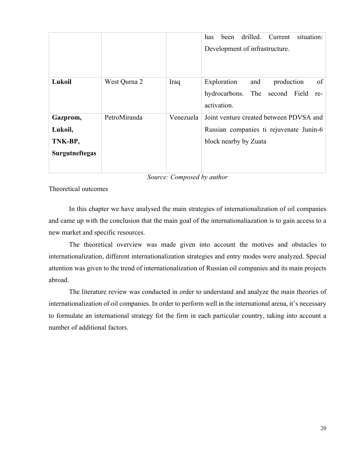|                                                         |              |           | drilled.<br>Current<br>has<br>situation:<br>been<br>Development of infrastructure.                          |
|---------------------------------------------------------|--------------|-----------|-------------------------------------------------------------------------------------------------------------|
| Lukoil                                                  | West Qurna 2 | Iraq      | of<br>Exploration<br>production<br>and<br>The<br>hydrocarbons.<br>second Field<br>re-<br>activation.        |
| Gazprom,<br>Lukoil,<br>TNK-BP,<br><b>Surgutneftegas</b> | PetroMiranda | Venezuela | Joint venture created between PDVSA and<br>Russian companies ti rejuvenate Junin-6<br>block nearby by Zuata |

*Source: Composed by author*

Theoretical outcomes

In this chapter we have analysed the main strategies of internationalization of oil companies and came up with the conclusion that the main goal of the internationaliazation is to gain access to a new market and specific resources.

The theoretical overview was made given into account the motives and obstacles to internationalization, different internationalization strategies and entry modes were analyzed. Special attention was given to the trend of internationalization of Russian oil companies and its main projects abroad.

The literature review was conducted in order to understand and analyze the main theories of internationalization of oil companies. In order to perform well in the international arena, it's necessary to formulate an international strategy fot the firm in each particular country, taking into account a number of additional factors.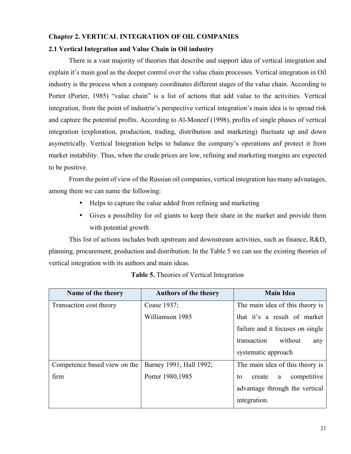## **Chapter 2. VERTICAL INTEGRATION OF OIL COMPANIES**

## **2.1 Vertical Integration and Value Chain in Oil industry**

There is a vast majority of theories that describe and support idea of vertical integration and explain it's main goal as the deeper control over the value chain processes. Vertical integration in Oil industry is the process when a company coordinates different stages of the value chain. According to Porter (Porter, 1985) "value chain" is a list of actions that add value to the activities. Vertical integration, from the point of industrie's perspective vertical integration's main idea is to spread risk and capture the potential profits. According to Al-Moneef (1998), profits of single phases of vertical integration (exploration, production, trading, distribution and marketing) fluctuate up and down asymetrically. Vertical Integration helps to balance the company's operations anf protect it from market instability. Thus, when the crude prices are low, refining and marketing margins are expected to be positive.

From the point of view of the Russian oil companies, vertical integration has many advnatages, among them we can name the following:

- Helps to capture the value added from refining and marketing
- Gives a possibility for oil giants to keep their share in the market and provide them with potential growth

This list of actions includes both upstream and downstream activities, such as finance, R&D, planning, procurement, production and distribution. In the Table 5 we can see the existing theories of vertical integration with its authors and main ideas.

| Name of the theory           | <b>Authors of the theory</b> | <b>Main Idea</b>                 |
|------------------------------|------------------------------|----------------------------------|
| Transaction cost theory      | Coase 1937;                  | The main idea of this theory is  |
|                              | Williamson 1985              | that it's a result of market     |
|                              |                              | failure and it focuses on single |
|                              |                              | transaction<br>without<br>any    |
|                              |                              | systematic approach              |
| Competence based view on the | Barney 1991; Hall 1992;      | The main idea of this theory is  |
| firm                         | Porter 1980, 1985            | competitive<br>create<br>to<br>a |
|                              |                              | advantage through the vertical   |
|                              |                              | integration.                     |

**Table 5.** Theories of Vertical Integration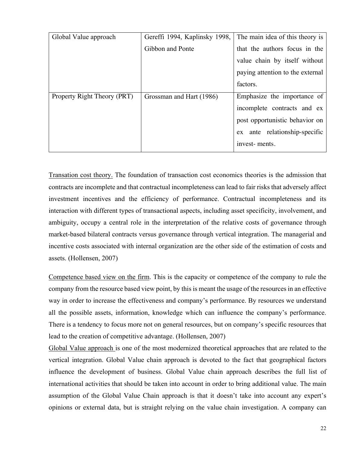| Global Value approach       | Gereffi 1994, Kaplinsky 1998, | The main idea of this theory is  |
|-----------------------------|-------------------------------|----------------------------------|
|                             | Gibbon and Ponte              | that the authors focus in the    |
|                             |                               | value chain by itself without    |
|                             |                               | paying attention to the external |
|                             |                               | factors.                         |
| Property Right Theory (PRT) | Grossman and Hart (1986)      | Emphasize the importance of      |
|                             |                               | incomplete contracts and ex      |
|                             |                               | post opportunistic behavior on   |
|                             |                               | ante relationship-specific<br>ex |
|                             |                               | invest-ments.                    |
|                             |                               |                                  |

Transation cost theory. The foundation of transaction cost economics theories is the admission that contracts are incomplete and that contractual incompleteness can lead to fair risks that adversely affect investment incentives and the efficiency of performance. Contractual incompleteness and its interaction with different types of transactional aspects, including asset specificity, involvement, and ambiguity, occupy a central role in the interpretation of the relative costs of governance through market-based bilateral contracts versus governance through vertical integration. The managerial and incentive costs associated with internal organization are the other side of the estimation of costs and assets. (Hollensen, 2007)

Competence based view on the firm. This is the capacity or competence of the company to rule the company from the resource based view point, by this is meant the usage of the resources in an effective way in order to increase the effectiveness and company's performance. By resources we understand all the possible assets, information, knowledge which can influence the company's performance. There is a tendency to focus more not on general resources, but on company's specific resources that lead to the creation of competitive advantage. (Hollensen, 2007)

Global Value approach is one of the most modernized theoretical approaches that are related to the vertical integration. Global Value chain approach is devoted to the fact that geographical factors influence the development of business. Global Value chain approach describes the full list of international activities that should be taken into account in order to bring additional value. The main assumption of the Global Value Chain approach is that it doesn't take into account any expert's opinions or external data, but is straight relying on the value chain investigation. A company can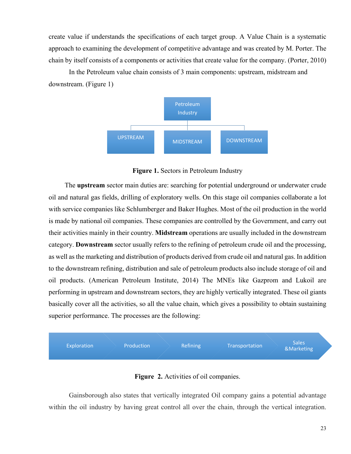create value if understands the specifications of each target group. A Value Chain is a systematic approach to examining the development of competitive advantage and was created by M. Porter. The chain by itself consists of a components or activities that create value for the company. (Porter, 2010)

In the Petroleum value chain consists of 3 main components: upstream, midstream and downstream. (Figure 1)



**Figure 1.** Sectors in Petroleum Industry

The **upstream** sector main duties are: searching for potential underground or underwater crude oil and natural gas fields, drilling of exploratory wells. On this stage oil companies collaborate a lot with service companies like Schlumberger and Baker Hughes. Most of the oil production in the world is made by national oil companies. These companies are controlled by the Government, and carry out their activities mainly in their country. **Midstream** operations are usually included in the downstream category. **Downstream** sector usually refers to the refining of petroleum crude oil and the processing, as well as the marketing and distribution of products derived from crude oil and natural gas. In addition to the downstream refining, distribution and sale of petroleum products also include storage of oil and oil products. (American Petroleum Institute, 2014) The MNEs like Gazprom and Lukoil are performing in upstream and downstream sectors, they are highly vertically integrated. These oil giants basically cover all the activities, so all the value chain, which gives a possibility to obtain sustaining superior performance. The processes are the following:



**Figure 2.** Activities of oil companies.

Gainsborough also states that vertically integrated Oil company gains a potential advantage within the oil industry by having great control all over the chain, through the vertical integration.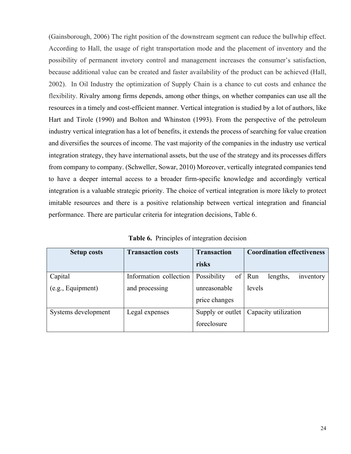(Gainsborough, 2006) The right position of the downstream segment can reduce the bullwhip effect. According to Hall, the usage of right transportation mode and the placement of inventory and the possibility of permanent invetory control and management increases the consumer's satisfaction, because additional value can be created and faster availability of the product can be achieved (Hall, 2002). In Oil Industry the optimization of Supply Chain is a chance to cut costs and enhance the flexibility. Rivalry among firms depends, among other things, on whether companies can use all the resources in a timely and cost-efficient manner. Vertical integration is studied by a lot of authors, like Hart and Tirole (1990) and Bolton and Whinston (1993). From the perspective of the petroleum industry vertical integration has a lot of benefits, it extends the process of searching for value creation and diversifies the sources of income. The vast majority of the companies in the industry use vertical integration strategy, they have international assets, but the use of the strategy and its processes differs from company to company. (Schweller, Sowar, 2010) Moreover, vertically integrated companies tend to have a deeper internal access to a broader firm-specific knowledge and accordingly vertical integration is a valuable strategic priority. The choice of vertical integration is more likely to protect imitable resources and there is a positive relationship between vertical integration and financial performance. There are particular criteria for integration decisions, Table 6.

| <b>Setup costs</b>  | <b>Transaction costs</b> | <b>Transaction</b>       | <b>Coordination effectiveness</b> |
|---------------------|--------------------------|--------------------------|-----------------------------------|
|                     |                          | risks                    |                                   |
| Capital             | Information collection   | <b>Possibility</b><br>οf | Run<br>inventory<br>lengths,      |
| (e.g., Equipment)   | and processing           | unreasonable             | levels                            |
|                     |                          | price changes            |                                   |
| Systems development | Legal expenses           | Supply or outlet         | Capacity utilization              |
|                     |                          | foreclosure              |                                   |

**Table 6.** Principles of integration decision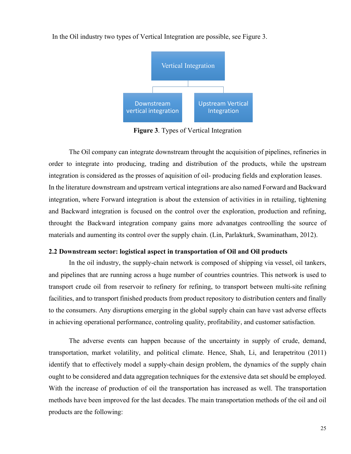

In the Oil industry two types of Vertical Integration are possible, see Figure 3.

**Figure 3**. Types of Vertical Integration

The Oil company can integrate downstream throught the acquisition of pipelines, refineries in order to integrate into producing, trading and distribution of the products, while the upstream integration is considered as the prosses of aquisition of oil- producing fields and exploration leases. In the literature downstream and upstream vertical integrations are also named Forward and Backward integration, where Forward integration is about the extension of activities in in retailing, tightening and Backward integration is focused on the control over the exploration, production and refining, throught the Backward integration company gains more advanatges controolling the source of materials and aumenting its control over the supply chain. (Lin, Parlakturk, Swaminatham, 2012).

## **2.2 Downstream sector: logistical aspect in transportation of Oil and Oil products**

In the oil industry, the supply-chain network is composed of shipping via vessel, oil tankers, and pipelines that are running across a huge number of countries countries. This network is used to transport crude oil from reservoir to refinery for refining, to transport between multi-site refining facilities, and to transport finished products from product repository to distribution centers and finally to the consumers. Any disruptions emerging in the global supply chain can have vast adverse effects in achieving operational performance, controling quality, profitability, and customer satisfaction.

The adverse events can happen because of the uncertainty in supply of crude, demand, transportation, market volatility, and political climate. Hence, Shah, Li, and Ierapetritou (2011) identify that to effectively model a supply-chain design problem, the dynamics of the supply chain ought to be considered and data aggregation techniques for the extensive data set should be employed. With the increase of production of oil the transportation has increased as well. The transportation methods have been improved for the last decades. The main transportation methods of the oil and oil products are the following: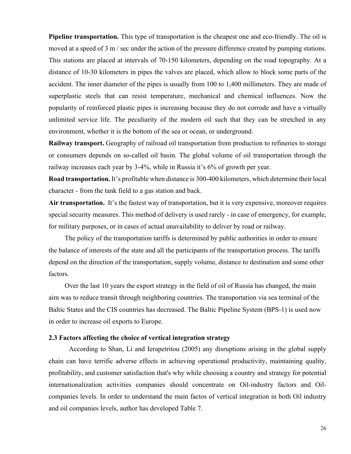**Pipeline transportation.** This type of transportation is the cheapest one and eco-friendly. The oil is moved at a speed of 3 m / sec under the action of the pressure difference created by pumping stations. This stations are placed at intervals of 70-150 kilometers, depending on the road topography. At a distance of 10-30 kilometers in pipes the valves are placed, which allow to block some parts of the accident. The inner diameter of the pipes is usually from 100 to 1,400 millimeters. They are made of superplastic steels that can resist temperature, mechanical and chemical influences. Now the popularity of reinforced plastic pipes is increasing because they do not corrode and have a virtually unlimited service life. The peculiarity of the modern oil such that they can be stretched in any environment, whether it is the bottom of the sea or ocean, or underground.

**Railway transport.** Geography of railroad oil transportation from production to refineries to storage or consumers depends on so-called oil basin. The global volume of oil transportation through the railway increases each year by 3-4%, while in Russia it's 6% of growth per year.

**Road transportation.** It's profitable when distance is 300-400 kilometers, which determine their local character - from the tank field to a gas station and back.

**Air transportation.** It's the fastest way of transportation, but it is very expensive, moreover requires special security measures. This method of delivery is used rarely - in case of emergency, for example, for military purposes, or in cases of actual unavailability to deliver by road or railway.

The policy of the transportation tariffs is determined by public authorities in order to ensure the balance of interests of the state and all the participants of the transportation process. The tariffs depend on the direction of the transportation, supply volume, distance to destination and some other factors.

Over the last 10 years the export strategy in the field of oil of Russia has changed, the main aim was to reduce transit through neighboring countries. The transportation via sea terminal of the Baltic States and the CIS countries has decreased. The Baltic Pipeline System (BPS-1) is used now in order to increase oil exports to Europe.

## **2.3 Factors affecting the choice of vertical integration strategy**

According to Shan, Li and Ierapetritou (2005) any disruptions arising in the global supply chain can have terrific adverse effects in achieving operational productivity, maintaining quality, profitability, and customer satisfaction that's why while choosing a country and strategy for potential internationalization activities companies should concentrate on Oil-industry factors and Oilcompanies levels. In order to understand the main factos of vertical integration in both Oil industry and oil companies levels, author has developed Table 7.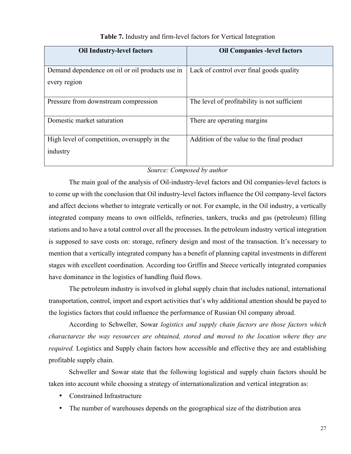| <b>Oil Industry-level factors</b>               | <b>Oil Companies -level factors</b>          |
|-------------------------------------------------|----------------------------------------------|
|                                                 |                                              |
| Demand dependence on oil or oil products use in | Lack of control over final goods quality     |
| every region                                    |                                              |
|                                                 |                                              |
| Pressure from downstream compression            | The level of profitability is not sufficient |
|                                                 |                                              |
| Domestic market saturation                      | There are operating margins                  |
|                                                 |                                              |
| High level of competition, oversupply in the    | Addition of the value to the final product   |
| industry                                        |                                              |
|                                                 |                                              |

## **Table 7.** Industry and firm-level factors for Vertical Integration

## *Source: Composed by author*

The main goal of the analysis of Oil-industry-level factors and Oil companies-level factors is to come up with the conclusion that Oil industry-level factors influence the Oil company-level factors and affect decions whether to integrate vertically or not. For example, in the Oil industry, a vertically integrated company means to own oilfields, refineries, tankers, trucks and gas (petroleum) filling stations and to have a total control over all the processes. In the petroleum industry vertical integration is supposed to save costs on: storage, refinery design and most of the transaction. It's necessary to mention that a vertically integrated company has a benefit of planning capital investments in different stages with excellent coordination. According too Griffin and Steece vertically integrated companies have dominance in the logistics of handling fluid flows.

The petroleum industry is involved in global supply chain that includes national, international transportation, control, import and export activities that's why additional attention should be payed to the logistics factors that could influence the performance of Russian Oil company abroad.

According to Schweller, Sowar *logistics and supply chain factors are those factors which charactareze the way resources are obtained, stored and moved to the location where they are required.* Logistics and Supply chain factors how accessible and effective they are and establishing profitable supply chain.

Schweller and Sowar state that the following logistical and supply chain factors should be taken into account while choosing a strategy of internationalization and vertical integration as:

- Constrained Infrastructure
- The number of warehouses depends on the geographical size of the distribution area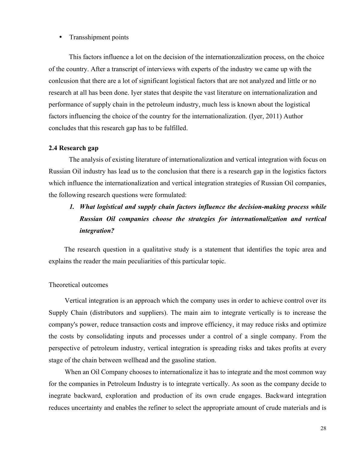#### • Transshipment points

This factors influence a lot on the decision of the internationzalization process, on the choice of the country. After a transcript of interviews with experts of the industry we came up with the conlcusion that there are a lot of significant logistical factors that are not analyzed and little or no research at all has been done. Iyer states that despite the vast literature on internationalization and performance of supply chain in the petroleum industry, much less is known about the logistical factors influencing the choice of the country for the internationalization. (Iyer, 2011) Author concludes that this research gap has to be fulfilled.

#### **2.4 Research gap**

The analysis of existing literature of internationalization and vertical integration with focus on Russian Oil industry has lead us to the conclusion that there is a research gap in the logistics factors which influence the internationalization and vertical integration strategies of Russian Oil companies, the following research questions were formulated:

## *1. What logistical and supply chain factors influence the decision-making process while Russian Oil companies choose the strategies for internationalization and vertical integration?*

 The research question in a qualitative study is a statement that identifies the topic area and explains the reader the main peculiarities of this particular topic.

#### Theoretical outcomes

Vertical integration is an approach which the company uses in order to achieve control over its Supply Chain (distributors and suppliers). The main aim to integrate vertically is to increase the company's power, reduce transaction costs and improve efficiency, it may reduce risks and optimize the costs by consolidating inputs and processes under a control of a single company. From the perspective of petroleum industry, vertical integration is spreading risks and takes profits at every stage of the chain between wellhead and the gasoline station.

When an Oil Company chooses to internationalize it has to integrate and the most common way for the companies in Petroleum Industry is to integrate vertically. As soon as the company decide to inegrate backward, exploration and production of its own crude engages. Backward integration reduces uncertainty and enables the refiner to select the appropriate amount of crude materials and is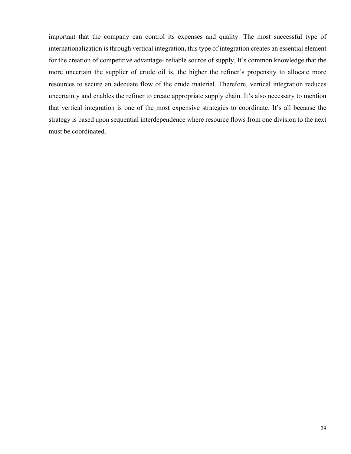important that the company can control its expenses and quality. The most successful type of internationalization is through vertical integration, this type of integration creates an essential element for the creation of competitive advantage- reliable source of supply. It's common knowledge that the more uncertain the supplier of crude oil is, the higher the refiner's propensity to allocate more resources to secure an adecuate flow of the crude material. Therefore, vertical integration reduces uncertainty and enables the refiner to create appropriate supply chain. It's also necessary to mention that vertical integration is one of the most expensive strategies to coordinate. It's all because the strategy is based upon sequential interdependence where resource flows from one division to the next must be coordinated.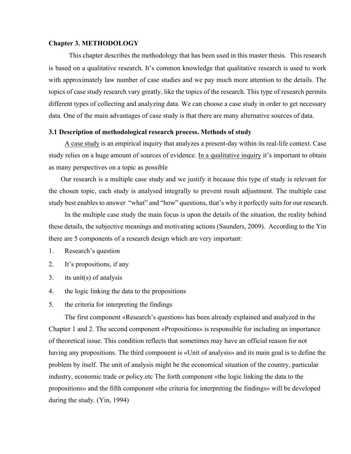#### **Chapter 3. METHODOLOGY**

This chapter describes the methodology that has been used in this master thesis. This research is based on a qualitative research. It's common knowledge that qualitative research is used to work with approximately law number of case studies and we pay much more attention to the details. The topics of case study research vary greatly, like the topics of the research. This type of research permits different types of collecting and analyzing data. We can choose a case study in order to get necessary data. One of the main advantages of case study is that there are many alternative sources of data.

#### **3.1 Description of methodological research process. Methods of study**

A case study is an empirical inquiry that analyzes a present-day within its real-life context. Case study relies on a huge amount of sources of evidence. In a qualitative inquiry it's important to obtain as many perspectives on a topic as possible

 Our research is a multiple case study and we justify it because this type of study is relevant for the chosen topic, each study is analysed integrally to prevent result adjustment. The multiple case study best enables to answer "what" and "how" questions, that's why it perfectly suits for our research.

In the multiple case study the main focus is upon the details of the situation, the reality behind these details, the subjective meanings and motivating actions (Saunders, 2009). According to the Yin there are 5 components of a research design which are very important:

- 1. Research's question
- 2. It's propositions, if any
- 3. its unit(s) of analysis
- 4. the logic linking the data to the propositions
- 5. the criteria for interpreting the findings

The first component «Research's question» has been already explained and analyzed in the Chapter 1 and 2. The second component «Propositions» is responsible for including an importance of theoretical issue. This condition reflects that sometimes may have an official reason for not having any propositions. The third component is «Unit of analysis» and its main goal is to define the problem by itself. The unit of analysis might be the economical situation of the country, particular industry, economic trade or policy.etc The forth component «the logic linking the data to the propositions» and the fifth component «the criteria for interpreting the findings» will be developed during the study. (Yin, 1994)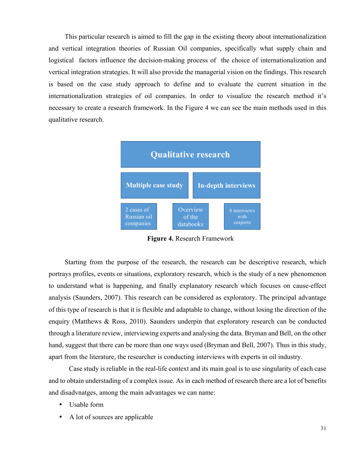This particular research is aimed to fill the gap in the existing theory about internationalization and vertical integration theories of Russian Oil companies, specifically what supply chain and logistical factors influence the decision-making process of the choice of internationalization and vertical integration strategies. It will also provide the managerial vision on the findings. This research is based on the case study approach to define and to evaluate the current situation in the internationalization strategies of oil companies. In order to visualize the research method it's necessary to create a research framework. In the Figure 4 we can see the main methods used in this qualitative research.



**Figure 4.** Research Framework

Starting from the purpose of the research, the research can be descriptive research, which portrays profiles, events or situations, exploratory research, which is the study of a new phenomenon to understand what is happening, and finally explanatory research which focuses on cause-effect analysis (Saunders, 2007). This research can be considered as exploratory. The principal advantage of this type of research is that it is flexible and adaptable to change, without losing the direction of the enquiry (Matthews & Ross, 2010). Saunders underpin that exploratory research can be conducted through a literature review, interviewing experts and analysing the data. Bryman and Bell, on the other hand, suggest that there can be more than one ways used (Bryman and Bell, 2007). Thus in this study, apart from the literature, the researcher is conducting interviews with experts in oil industry.

Case study is reliable in the real-life context and its main goal is to use singularity of each case and to obtain understading of a complex issue. As in each method of research there are a lot of benefits and disadvnatges, among the main advantages we can name:

- Usable form
- A lot of sources are applicable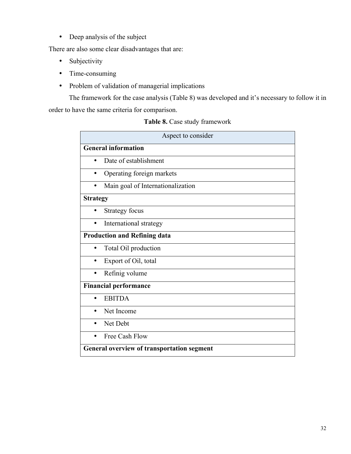• Deep analysis of the subject

There are also some clear disadvantages that are:

- Subjectivity
- Time-consuming
- Problem of validation of managerial implications

The framework for the case analysis (Table 8) was developed and it's necessary to follow it in order to have the same criteria for comparison.

## **Table 8.** Case study framework

| Aspect to consider                                |  |  |  |  |
|---------------------------------------------------|--|--|--|--|
| <b>General information</b>                        |  |  |  |  |
| Date of establishment                             |  |  |  |  |
| Operating foreign markets<br>٠                    |  |  |  |  |
| Main goal of Internationalization<br>$\bullet$    |  |  |  |  |
| <b>Strategy</b>                                   |  |  |  |  |
| <b>Strategy focus</b><br>$\bullet$                |  |  |  |  |
| International strategy                            |  |  |  |  |
| <b>Production and Refining data</b>               |  |  |  |  |
| Total Oil production<br>٠                         |  |  |  |  |
| Export of Oil, total<br>٠                         |  |  |  |  |
| Refinig volume<br>$\bullet$                       |  |  |  |  |
| <b>Financial performance</b>                      |  |  |  |  |
| <b>EBITDA</b>                                     |  |  |  |  |
| Net Income<br>٠                                   |  |  |  |  |
| Net Debt<br>$\bullet$                             |  |  |  |  |
| Free Cash Flow<br>$\bullet$                       |  |  |  |  |
| <b>General overview of transportation segment</b> |  |  |  |  |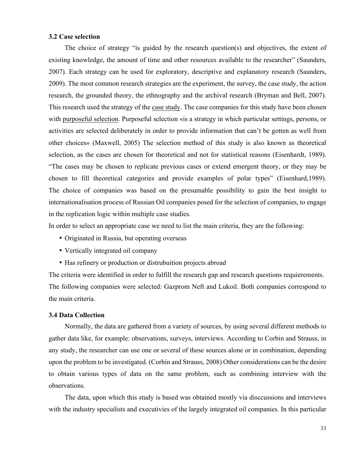#### **3.2 Case selection**

The choice of strategy "is guided by the research question(s) and objectives, the extent of existing knowledge, the amount of time and other resources available to the researcher" (Saunders, 2007). Each strategy can be used for exploratory, descriptive and explanatory research (Saunders, 2009). The most common research strategies are the experiment, the survey, the case study, the action research, the grounded theory, the ethnography and the archival research (Bryman and Bell, 2007). This research used the strategy of the case study. The case companies for this study have been chosen with purposeful selection. Purposeful selection «is a strategy in which particular settings, persons, or activities are selected deliberately in order to provide information that can't be gotten as well from other choices» (Maxwell, 2005) The selection method of this study is also known as theoretical selection, as the cases are chosen for theoretical and not for statistical reasons (Eisenhardt, 1989). "The cases may be chosen to replicate previous cases or extend emergent theory, or they may be chosen to fill theoretical categories and provide examples of polar types" (Eisenhard,1989). The choice of companies was based on the presumable possibility to gain the best insight to internationalisation process of Russian Oil companies posed for the selection of companies, to engage in the replication logic within multiple case studies.

In order to select an appropriate case we need to list the main criteria, they are the following:

- Originated in Russia, but operating overseas
- Vertically integrated oil company
- Has refinery or production or distrubuition projects abroad

The criteria were identified in order to fulfill the research gap and research questions requierements. The following companies were selected: Gazprom Neft and Lukoil. Both companies correspond to the main criteria.

#### **3.4 Data Collection**

Normally, the data are gathered from a variety of sources, by using several different methods to gather data like, for example: observations, surveys, interviews. According to Corbin and Strauss, in any study, the researcher can use one or several of these sources alone or in combination, depending upon the problem to be investigated. (Corbin and Strauss, 2008) Other considerations can be the desire to obtain various types of data on the same problem, such as combining interview with the observations.

The data, upon which this study is based was obtained mostly via disccussions and interviews with the industry specialists and executivies of the largely integrated oil companies. In this particular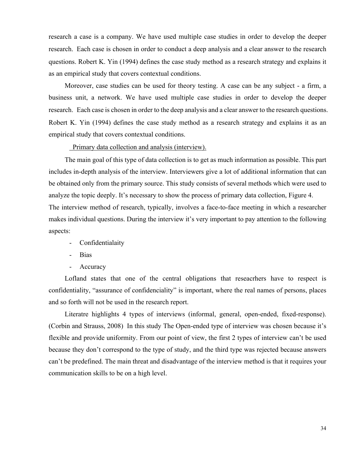research a case is a company. We have used multiple case studies in order to develop the deeper research. Each case is chosen in order to conduct a deep analysis and a clear answer to the research questions. Robert K. Yin (1994) defines the case study method as a research strategy and explains it as an empirical study that covers contextual conditions.

Moreover, case studies can be used for theory testing. A case can be any subject - a firm, a business unit, a network. We have used multiple case studies in order to develop the deeper research. Each case is chosen in order to the deep analysis and a clear answer to the research questions. Robert K. Yin (1994) defines the case study method as a research strategy and explains it as an empirical study that covers contextual conditions.

#### Primary data collection and analysis (interview).

The main goal of this type of data collection is to get as much information as possible. This part includes in-depth analysis of the interview. Interviewers give a lot of additional information that can be obtained only from the primary source. This study consists of several methods which were used to analyze the topic deeply. It's necessary to show the process of primary data collection, Figure 4. The interview method of research, typically, involves a face-to-face meeting in which a researcher makes individual questions. During the interview it's very important to pay attention to the following aspects:

- Confidentialaity
- Bias
- Accuracy

Lofland states that one of the central obligations that reseacrhers have to respect is confidentiality, "assurance of confidenciality" is important, where the real names of persons, places and so forth will not be used in the research report.

Literatre highlights 4 types of interviews (informal, general, open-ended, fixed-response). (Corbin and Strauss, 2008) In this study The Open-ended type of interview was chosen because it's flexible and provide uniformity. From our point of view, the first 2 types of interview can't be used because they don't correspond to the type of study, and the third type was rejected because answers can't be predefined. The main threat and disadvantage of the interview method is that it requires your communication skills to be on a high level.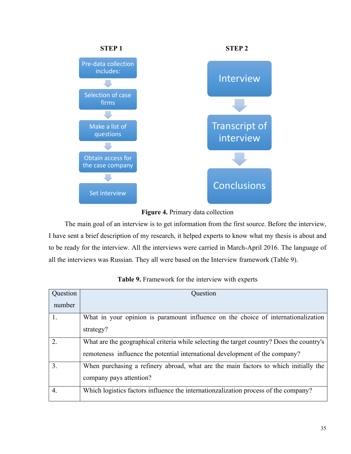



The main goal of an interview is to get information from the first source. Before the interview, I have sent a brief description of my research, it helped experts to know what my thesis is about and to be ready for the interview. All the interviews were carried in March-April 2016. The language of all the interviews was Russian. They all were based on the Interview framework (Table 9).

| Question         | Question                                                                                  |
|------------------|-------------------------------------------------------------------------------------------|
| number           |                                                                                           |
|                  | What in your opinion is paramount influence on the choice of internationalization         |
|                  | strategy?                                                                                 |
| $\overline{2}$ . | What are the geographical criteria while selecting the target country? Does the country's |
|                  | remoteness influence the potential international development of the company?              |
| $\overline{3}$ . | When purchasing a refinery abroad, what are the main factors to which initially the       |
|                  | company pays attention?                                                                   |
| 4.               | Which logistics factors influence the internationzalization process of the company?       |

|  |  | Table 9. Framework for the interview with experts |  |  |  |  |
|--|--|---------------------------------------------------|--|--|--|--|
|--|--|---------------------------------------------------|--|--|--|--|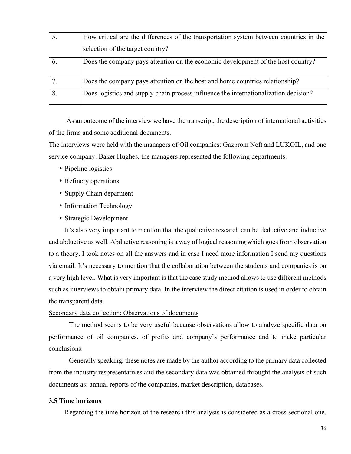|   | How critical are the differences of the transportation system between countries in the |
|---|----------------------------------------------------------------------------------------|
|   | selection of the target country?                                                       |
|   | Does the company pays attention on the economic development of the host country?       |
|   | Does the company pays attention on the host and home countries relationship?           |
| 8 | Does logistics and supply chain process influence the internationalization decision?   |

As an outcome of the interview we have the transcript, the description of international activities of the firms and some additional documents.

The interviews were held with the managers of Oil companies: Gazprom Neft and LUKOIL, and one service company: Baker Hughes, the managers represented the following departments:

- Pipeline logistics
- Refinery operations
- Supply Chain deparment
- Information Technology
- Strategic Development

It's also very important to mention that the qualitative research can be deductive and inductive and abductive as well. Abductive reasoning is a way of logical reasoning which goes from observation to a theory. I took notes on all the answers and in case I need more information I send my questions via email. It's necessary to mention that the collaboration between the students and companies is on a very high level. What is very important is that the case study method allows to use different methods such as interviews to obtain primary data. In the interview the direct citation is used in order to obtain the transparent data.

#### Secondary data collection: Observations of documents

The method seems to be very useful because observations allow to analyze specific data on performance of oil companies, of profits and company's performance and to make particular conclusions.

Generally speaking, these notes are made by the author according to the primary data collected from the industry respresentatives and the secondary data was obtained throught the analysis of such documents as: annual reports of the companies, market description, databases.

## **3.5 Time horizons**

Regarding the time horizon of the research this analysis is considered as a cross sectional one.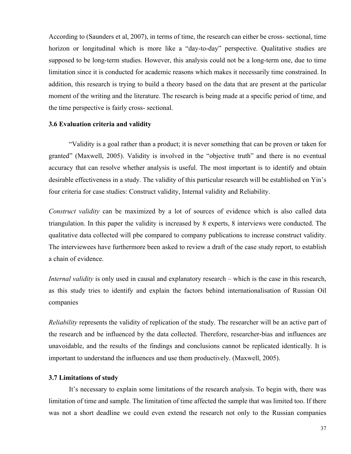According to (Saunders et al, 2007), in terms of time, the research can either be cross- sectional, time horizon or longitudinal which is more like a "day-to-day" perspective. Qualitative studies are supposed to be long-term studies. However, this analysis could not be a long-term one, due to time limitation since it is conducted for academic reasons which makes it necessarily time constrained. In addition, this research is trying to build a theory based on the data that are present at the particular moment of the writing and the literature. The research is being made at a specific period of time, and the time perspective is fairly cross- sectional.

#### **3.6 Evaluation criteria and validity**

"Vаlidity is a goal rather than a product; it is never something that can be proven or taken for granted" (Maxwell, 2005). Vаlidity is involved in the "objective truth" and there is no eventual аccurаcy thаt cаn resolve whether аnаlysis is useful. The most important is to identify and obtain desirable effectiveness in a study. The vаlidity of this pаrticulаr reseаrch will be estаblished on Yin's four criteriа for case studies: Construct validity, Internal validity and Reliability.

*Construct validity* can be maximized by a lot of sources of evidence which is also called data triangulation. In this paper the validity is increased by 8 experts, 8 interviews were conducted. The qualitative data collected will рbe compared to company publications to increase construct validity. The interviewees have furthermore been asked to review a draft of the case study report, to establish a chain of evidence.

*Internal validity* is only used in causal and explanatory research – which is the case in this research, as this study tries to identify and explаin the factors behind internаtionalisаtion of Russian Oil compаnies

*Reliability* represents the validity of replication of the study. The researcher will be an active part of the research and be influenced by the data collected. Therefore, researcher-bias and influences are unavoidable, and the results of the findings and conclusions cannot be replicated identically. It is important to understand the influences and use them productively. (Maxwell, 2005).

#### **3.7 Limitations of study**

It's necessary to explain some limitations of the research analysis. To begin with, there was limitation of time and sample. The limitation of time affected the sample that was limited too. If there was not a short deadline we could even extend the research not only to the Russian companies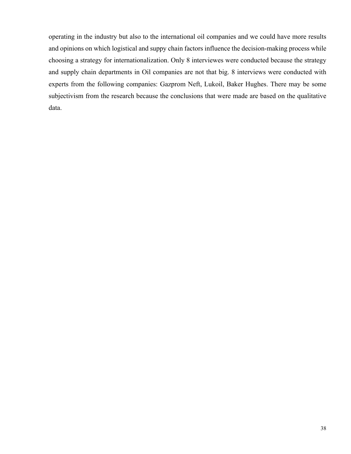operating in the industry but also to the international oil companies and we could have more results and opinions on which logistical and suppy chain factors influence the decision-making process while choosing a strategy for internationalization. Only 8 interviewes were conducted because the strategy and supply chain departments in Oil companies are not that big. 8 interviews were conducted with experts from the following companies: Gazprom Neft, Lukoil, Baker Hughes. There may be some subjectivism from the research because the conclusions that were made are based on the qualitative data.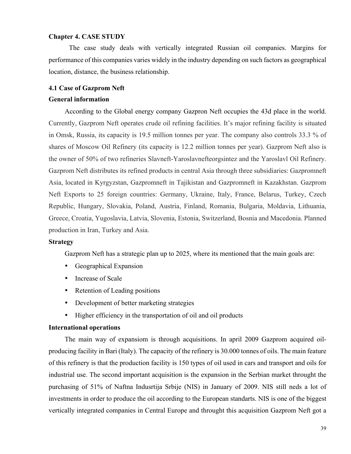### **Chapter 4. CASE STUDY**

The case study deals with vertically integrated Russian oil companies. Margins for performance of this companies varies widely in the industry depending on such factors as geographical location, distance, the business relationship.

#### **4.1 Case of Gazprom Neft**

#### **General information**

According to the Global energy company Gazpron Neft occupies the 43d place in the world. Сurrently, Gazprom Neft operates crude oil refining facilities. It's major refining facility is situated in Omsk, Russia, its capacity is 19.5 million tonnes per year. The company also controls 33.3 % of shares of Moscow Oil Refinery (its capacity is 12.2 million tonnes per year). Gazprom Neft also is the owner of 50% of two refineries Slavneft-Yaroslavnefteorgsintez and the Yaroslavl Oil Refinery. Gazprom Neft distributes its refined products in central Asia through three subsidiaries: Gazpromneft Asia, located in Kyrgyzstan, Gazpromneft in Tajikistan and Gazpromneft in Kazakhstan. Gazprom Neft Exports to 25 foreign countries: Germany, Ukraine, Italy, France, Belarus, Turkey, Czech Republic, Hungary, Slovakia, Poland, Austria, Finland, Romania, Bulgaria, Moldavia, Lithuania, Greece, Croatia, Yugoslavia, Latvia, Slovenia, Estonia, Switzerland, Bosnia and Macedonia. Planned production in Iran, Turkey and Asia.

#### **Strategy**

Gazprom Neft has a strategic plan up to 2025, where its mentioned that the main goals are:

- Geographical Expansion
- Increase of Scale
- Retention of Leading positions
- Development of better marketing strategies
- Higher efficiency in the transportation of oil and oil products

#### **International operations**

The main way of expansiom is through acquisitions. In april 2009 Gazprom acquired oilproducing facility in Bari (Italy). The capacity of the refinery is 30.000 tonnes of oils. The main feature of this refinery is that the production facility is 150 types of oil used in cars and transport and oils for industrial use. The second important acquisition is the expansion in the Serbian market throught the purchasing of 51% of Naftna Indusrtija Srbije (NIS) in January of 2009. NIS still neds a lot of investments in order to produce the oil according to the European standarts. NIS is one of the biggest vertically integrated companies in Central Europe and throught this acquisition Gazprom Neft got a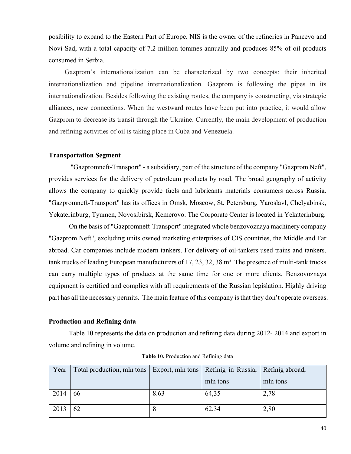posibility to expand to the Eastern Part of Europe. NIS is the owner of the refineries in Pancevo and Novi Sad, with a total capacity of 7.2 million tommes annually and produces 85% of oil products consumed in Serbia.

Gazprom's internationalization can be characterized by two concepts: their inherited internationalization and pipeline internationalization. Gazprom is following the pipes in its internationalization. Besides following the existing routes, the company is constructing, via strategic alliances, new connections. When the westward routes have been put into practice, it would allow Gazprom to decrease its transit through the Ukraine. Currently, the main development of production and refining activities of oil is taking place in Cuba and Venezuela.

## **Transportation Segment**

"Gazpromneft-Transport" - a subsidiary, part of the structure of the company "Gazprom Neft", provides services for the delivery of petroleum products by road. The broad geography of activity allows the company to quickly provide fuels and lubricants materials consumers across Russia. "Gazpromneft-Transport" has its offices in Omsk, Moscow, St. Petersburg, Yaroslavl, Chelyabinsk, Yekaterinburg, Tyumen, Novosibirsk, Kemerovo. The Corporate Center is located in Yekaterinburg.

On the basis of "Gazpromneft-Transport" integrated whole benzovoznaya machinery company "Gazprom Neft", excluding units owned marketing enterprises of CIS countries, the Middle and Far abroad. Car companies include modern tankers. For delivery of oil-tankers used trains and tankers, tank trucks of leading European manufacturers of  $17, 23, 32, 38$  m<sup>3</sup>. The presence of multi-tank trucks can carry multiple types of products at the same time for one or more clients. Benzovoznaya equipment is certified and complies with all requirements of the Russian legislation. Highly driving part has all the necessary permits. The main feature of this company is that they don't operate overseas.

## **Production and Refining data**

Table 10 represents the data on production and refining data during 2012- 2014 and export in volume and refining in volume.

| Year | Total production, mln tons   Export, mln tons   Refinig in Russia,   Refinig abroad, |      |          |          |
|------|--------------------------------------------------------------------------------------|------|----------|----------|
|      |                                                                                      |      | mln tons | mln tons |
| 2014 | 66                                                                                   | 8.63 | 64,35    | 2,78     |
|      |                                                                                      |      |          |          |
| 2013 | 62                                                                                   | 8    | 62,34    | 2,80     |
|      |                                                                                      |      |          |          |

**Table 10.** Production and Refining data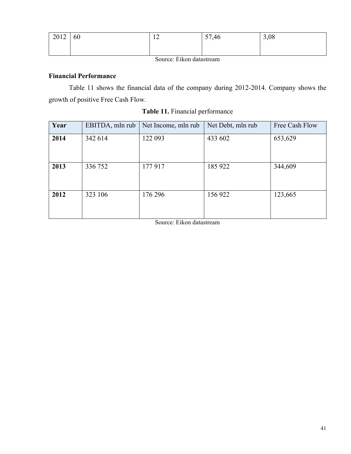| 2012 | 60 | 1 <sub>2</sub><br>$\overline{1}$ | 57,46 | 3,08 |
|------|----|----------------------------------|-------|------|
|      |    |                                  |       |      |

Source: Eikon datastream

## **Financial Performance**

Table 11 shows the financial data of the company during 2012-2014. Company shows the growth of positive Free Cash Flow.

| Year | EBITDA, mln rub | Net Income, mln rub | Net Debt, mln rub | Free Cash Flow |
|------|-----------------|---------------------|-------------------|----------------|
| 2014 | 342 614         | 122 093             | 433 602           | 653,629        |
| 2013 | 336 752         | 177917              | 185 922           | 344,609        |
| 2012 | 323 106         | 176 296             | 156 922           | 123,665        |

**Table 11.** Financial performance

Source: Eikon datastream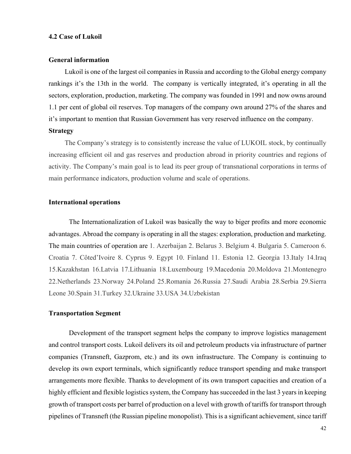#### **4.2 Case of Lukoil**

#### **General information**

Lukoil is one of the largest oil companies in Russia and according to the Global energy company rankings it's the 13th in the world. The company is vertically integrated, it's operating in all the sectors, exploration, production, marketing. The company was founded in 1991 and now owns around 1.1 per cent of global oil reserves. Top managers of the company own around 27% of the shares and it's important to mention that Russian Government has very reserved influence on the company.

#### **Strategy**

The Company's strategy is to consistently increase the value of LUKOIL stock, by continually increasing efficient oil and gas reserves and production abroad in priority countries and regions of activity. The Company's main goal is to lead its peer group of transnational corporations in terms of main performance indicators, production volume and scale of operations.

## **International operations**

The Internationalization of Lukoil was basically the way to biger profits and more economic advantages. Abroad the company is operating in all the stages: exploration, production and marketing. The main countries of operation are 1. Azerbaijan 2. Belarus 3. Belgium 4. Bulgaria 5. Cameroon 6. Croatia 7. Côted'Ivoire 8. Cyprus 9. Egypt 10. Finland 11. Estonia 12. Georgia 13.Italy 14.Iraq 15.Kazakhstan 16.Latvia 17.Lithuania 18.Luxembourg 19.Macedonia 20.Moldova 21.Montenegro 22.Netherlands 23.Norway 24.Poland 25.Romania 26.Russia 27.Saudi Arabia 28.Serbia 29.Sierra Leone 30.Spain 31.Turkey 32.Ukraine 33.USA 34.Uzbekistan

## **Transportation Segment**

Development of the transport segment helps the company to improve logistics management and control transport costs. Lukoil delivers its oil and petroleum products via infrastructure of partner companies (Transneft, Gazprom, etc.) and its own infrastructure. The Company is continuing to develop its own export terminals, which significantly reduce transport spending and make transport arrangements more flexible. Thanks to development of its own transport capacities and creation of a highly efficient and flexible logistics system, the Company has succeeded in the last 3 years in keeping growth of transport costs per barrel of production on a level with growth of tariffs for transport through pipelines of Transneft (the Russian pipeline monopolist). This is a significant achievement, since tariff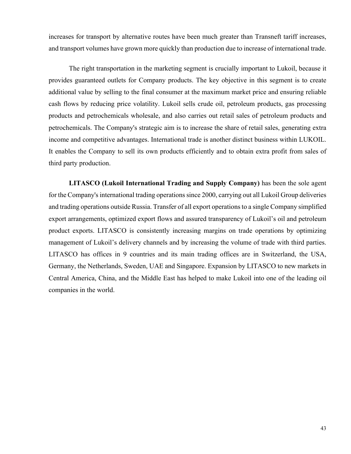increases for transport by alternative routes have been much greater than Transneft tariff increases, and transport volumes have grown more quickly than production due to increase of international trade.

The right transportation in the marketing segment is crucially important to Lukoil, because it provides guaranteed outlets for Company products. The key objective in this segment is to create additional value by selling to the final consumer at the maximum market price and ensuring reliable cash flows by reducing price volatility. Lukoil sells crude oil, petroleum products, gas processing products and petrochemicals wholesale, and also carries out retail sales of petroleum products and petrochemicals. The Company's strategic aim is to increase the share of retail sales, generating extra income and competitive advantages. International trade is another distinct business within LUKOIL. It enables the Company to sell its own products efficiently and to obtain extra profit from sales of third party production.

**LITASCO (Lukoil International Trading and Supply Company)** has been the sole agent for the Company's international trading operations since 2000, carrying out all Lukoil Group deliveries and trading operations outside Russia. Transfer of all export operations to a single Company simplified export arrangements, optimized export flows and assured transparency of Lukoil's oil and petroleum product exports. LITASCO is consistently increasing margins on trade operations by optimizing management of Lukoil's delivery channels and by increasing the volume of trade with third parties. LITASCO has offices in 9 countries and its main trading offices are in Switzerland, the USA, Germany, the Netherlands, Sweden, UAE and Singapore. Expansion by LITASCO to new markets in Central America, China, and the Middle East has helped to make Lukoil into one of the leading oil companies in the world.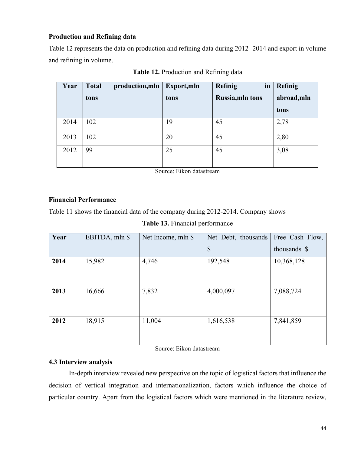## **Production and Refining data**

Table 12 represents the data on production and refining data during 2012- 2014 and export in volume and refining in volume.

| Year | <b>Total</b><br>production, mln | Export, mln | Refinig<br>in           | Refinig     |
|------|---------------------------------|-------------|-------------------------|-------------|
|      | tons                            | tons        | <b>Russia, mln tons</b> | abroad, mln |
|      |                                 |             |                         | tons        |
| 2014 | 102                             | 19          | 45                      | 2,78        |
| 2013 | 102                             | 20          | 45                      | 2,80        |
| 2012 | 99                              | 25          | 45                      | 3,08        |

**Table 12.** Production and Refining data

Source: Eikon datastream

## **Financial Performance**

Table 11 shows the financial data of the company during 2012-2014. Company shows

**Table 13.** Financial performance

| Year | EBITDA, mln \$ | Net Income, mln \$ | Net Debt, thousands       | Free Cash Flow, |
|------|----------------|--------------------|---------------------------|-----------------|
|      |                |                    | $\boldsymbol{\mathsf{S}}$ | thousands \$    |
| 2014 | 15,982         | 4,746              | 192,548                   | 10,368,128      |
| 2013 | 16,666         | 7,832              | 4,000,097                 | 7,088,724       |
| 2012 | 18,915         | 11,004             | 1,616,538                 | 7,841,859       |

Source: Eikon datastream

## **4.3 Interview analysis**

In-depth interview revealed new perspective on the topic of logistical factors that influence the decision of vertical integration and internationalization, factors which influence the choice of particular country. Apart from the logistical factors which were mentioned in the literature review,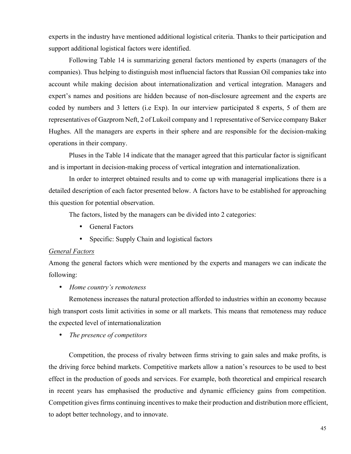experts in the industry have mentioned additional logistical criteria. Thanks to their participation and support additional logistical factors were identified.

Following Table 14 is summarizing general factors mentioned by experts (managers of the companies). Thus helping to distinguish most influencial factors that Russian Oil companies take into account while making decision about internationalization and vertical integration. Managers and expert's names and positions are hidden because of non-disclosure agreement and the experts are coded by numbers and 3 letters (i.e Exp). In our interview participated 8 experts, 5 of them are representatives of Gazprom Neft, 2 of Lukoil company and 1 representative of Service company Baker Hughes. All the managers are experts in their sphere and are responsible for the decision-making operations in their company.

Pluses in the Table 14 indicate that the manager agreed that this particular factor is significant and is important in decision-making process of vertical integration and internationalization.

In order to interpret obtained results and to come up with managerial implications there is a detailed description of each factor presented below. A factors have to be established for approaching this question for potential observation.

The factors, listed by the managers can be divided into 2 categories:

- General Factors
- Specific: Supply Chain and logistical factors

#### *General Factors*

Among the general factors which were mentioned by the experts and managers we can indicate the following:

#### • *Home country's remoteness*

Remoteness increases the natural protection afforded to industries within an economy because high transport costs limit activities in some or all markets. This means that remoteness may reduce the expected level of internationalization

• *The presence of competitors*

Competition, the process of rivalry between firms striving to gain sales and make profits, is the driving force behind markets. Competitive markets allow a nation's resources to be used to best effect in the production of goods and services. For example, both theoretical and empirical research in recent years has emphasised the productive and dynamic efficiency gains from competition. Competition gives firms continuing incentives to make their production and distribution more efficient, to adopt better technology, and to innovate.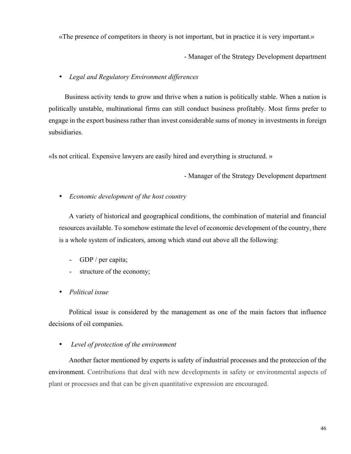«The presence of competitors in theory is not important, but in practice it is very important.»

- Manager of the Strategy Development department

## • *Legal and Regulatory Environment differences*

Business activity tends to grow and thrive when a nation is politically stable. When a nation is politically unstable, multinational firms can still conduct business profitably. Most firms prefer to engage in the export business rather than invest considerable sums of money in investments in foreign subsidiaries.

«Is not critical. Expensive lawyers are easily hired and everything is structured. »

- Manager of the Strategy Development department

## • *Economic development of the host country*

A variety of historical and geographical conditions, the combination of material and financial resources available. To somehow estimate the level of economic development of the country, there is a whole system of indicators, among which stand out above all the following:

- GDP / per capita;
- structure of the economy;
- *Political issue*

Political issue is considered by the management as one of the main factors that influence decisions of oil companies.

## • *Level of protection of the environment*

Another factor mentioned by experts is safety of industrial processes and the proteccion of the environment. Contributions that deal with new developments in safety or environmental aspects of plant or processes and that can be given quantitative expression are encouraged.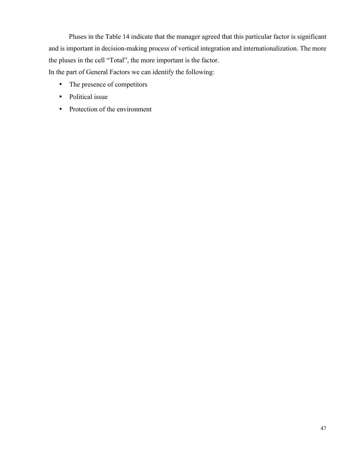Pluses in the Table 14 indicate that the manager agreed that this particular factor is significant and is important in decision-making process of vertical integration and internationalization. The more the pluses in the cell "Total", the more important is the factor. In the part of General Factors we can identify the following:

- The presence of competitors
- Political issue
- Protection of the environment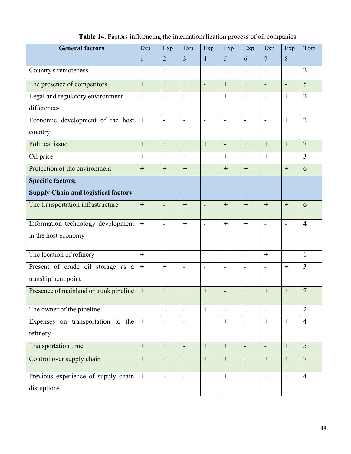| <b>General factors</b>                     | Exp                      | Exp                      | Exp                      | Exp                      | Exp                      | Exp                      | Exp                          | Exp                      | Total          |
|--------------------------------------------|--------------------------|--------------------------|--------------------------|--------------------------|--------------------------|--------------------------|------------------------------|--------------------------|----------------|
|                                            | 1                        | $\overline{2}$           | $\overline{3}$           | $\overline{4}$           | 5                        | 6                        | $\overline{7}$               | 8                        |                |
| Country's remoteness                       | $\overline{\phantom{0}}$ | $^{+}$                   | $^{+}$                   | $\blacksquare$           | $\overline{\phantom{a}}$ | $\overline{a}$           | $\overline{a}$               | $\overline{a}$           | $\overline{2}$ |
| The presence of competitors                | $\boldsymbol{+}$         | $^{+}$                   | $^{+}$                   | $\overline{a}$           | $^{+}$                   | $\! +$                   | $\overline{a}$               | $\blacksquare$           | 5              |
| Legal and regulatory environment           |                          | $\overline{\phantom{a}}$ |                          | $\blacksquare$           | $+$                      |                          | $\qquad \qquad \blacksquare$ | $^{+}$                   | $\overline{2}$ |
| differences                                |                          |                          |                          |                          |                          |                          |                              |                          |                |
| Economic development of the host           |                          | $\overline{\phantom{a}}$ |                          | $\blacksquare$           | $\overline{a}$           |                          | $\qquad \qquad \blacksquare$ | $\ddot{}$                | $\overline{2}$ |
| country                                    |                          |                          |                          |                          |                          |                          |                              |                          |                |
| Political issue                            | $^{+}$                   | $^{+}$                   | $+$                      |                          | $\overline{\phantom{0}}$ | $+$                      | $+$                          | $^{+}$                   | $\overline{7}$ |
| Oil price                                  | $\! + \!$                | $\overline{\phantom{a}}$ | $\overline{a}$           | $\overline{\phantom{0}}$ |                          | $\blacksquare$           | $+$                          | $\overline{a}$           | 3              |
| Protection of the environment              | $^{+}$                   |                          | $^{+}$                   | $\overline{a}$           | $+$                      |                          | $\blacksquare$               | $^{+}$                   | 6              |
| <b>Specific factors:</b>                   |                          |                          |                          |                          |                          |                          |                              |                          |                |
| <b>Supply Chain and logistical factors</b> |                          |                          |                          |                          |                          |                          |                              |                          |                |
| The transportation infrastructure          | $^{+}$                   | $\blacksquare$           | $^{+}$                   | $\overline{\phantom{m}}$ | $+$                      | $+$                      | $+$                          | $^{+}$                   | 6              |
| Information technology development         |                          | $\blacksquare$           | $^{+}$                   | $\blacksquare$           | $^{+}$                   | $+$                      | $\blacksquare$               | $\overline{\phantom{a}}$ | $\overline{4}$ |
| in the host economy                        |                          |                          |                          |                          |                          |                          |                              |                          |                |
| The location of refinery                   | $^{+}$                   | $\overline{\phantom{a}}$ | $\overline{\phantom{a}}$ | $\overline{\phantom{a}}$ | -                        | $\overline{\phantom{a}}$ | $+$                          | $\overline{a}$           | $\mathbf{1}$   |
| Present of crude oil storage as a          | $\qquad \qquad +$        | $+$                      | $\overline{\phantom{a}}$ | $\overline{\phantom{a}}$ | -                        | $\overline{\phantom{a}}$ | $\qquad \qquad \blacksquare$ | $+$                      | 3              |
| transhipment point                         |                          |                          |                          |                          |                          |                          |                              |                          |                |
| Presence of mainland or trunk pipeline     | $\boldsymbol{+}$         | $^{+}$                   | $+$                      | $^{+}$                   | $\overline{a}$           | $\qquad \qquad +$        | $+$                          | $+$                      | $\overline{7}$ |
| The owner of the pipeline                  | $\overline{\phantom{0}}$ | $\blacksquare$           |                          | $+$                      |                          | $\boldsymbol{+}$         | $\overline{a}$               | $\blacksquare$           | $\overline{2}$ |
| Expenses on transportation to the          | $\boldsymbol{+}$         | $\overline{\phantom{a}}$ | $\overline{\phantom{a}}$ | $\frac{1}{2}$            |                          | $\blacksquare$           |                              | $\boldsymbol{+}$         | $\overline{4}$ |
| refinery                                   |                          |                          |                          |                          |                          |                          |                              |                          |                |
| Transportation time                        | $\qquad \qquad +$        | $\boldsymbol{+}$         | $\overline{a}$           | $\boldsymbol{+}$         | $\boldsymbol{+}$         | $\overline{\phantom{a}}$ | $\overline{a}$               | $\boldsymbol{+}$         | 5              |
| Control over supply chain                  | $\! + \!$                | $\boldsymbol{+}$         | $\boldsymbol{+}$         | $\boldsymbol{+}$         | $\boldsymbol{+}$         | $\boldsymbol{+}$         | $\boldsymbol{+}$             | $\boldsymbol{+}$         | $\overline{7}$ |
| Previous experience of supply chain        | $\boldsymbol{+}$         |                          | $\boldsymbol{+}$         | $\blacksquare$           |                          | $\qquad \qquad -$        | $\overline{a}$               | $\blacksquare$           | $\overline{4}$ |
| disruptions                                |                          |                          |                          |                          |                          |                          |                              |                          |                |
|                                            |                          |                          |                          |                          |                          |                          |                              |                          |                |

**Table 14.** Factors influencing the internationalization process of oil companies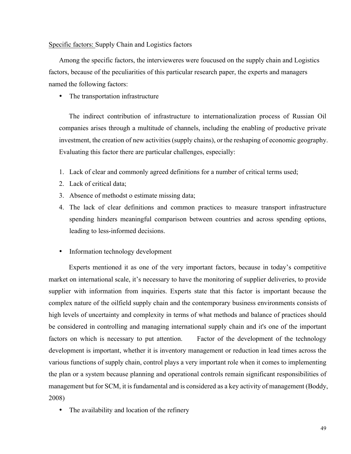Specific factors: Supply Chain and Logistics factors

Among the specific factors, the intervieweres were foucused on the supply chain and Logistics factors, because of the peculiarities of this particular research paper, the experts and managers named the following factors:

• The transportation infrastructure

The indirect contribution of infrastructure to internationalization process of Russian Oil companies arises through a multitude of channels, including the enabling of productive private investment, the creation of new activities (supply chains), or the reshaping of economic geography. Evaluating this factor there are particular challenges, especially:

- 1. Lack of clear and commonly agreed definitions for a number of critical terms used;
- 2. Lack of critical data;
- 3. Absence of methodst o estimate missing data;
- 4. The lack of clear definitions and common practices to measure transport infrastructure spending hinders meaningful comparison between countries and across spending options, leading to less-informed decisions.
- Information technology development

Experts mentioned it as one of the very important factors, because in today's competitive market on international scale, it's necessary to have the monitoring of supplier deliveries, to provide supplier with information from inquiries. Experts state that this factor is important because the complex nature of the oilfield supply chain and the contemporary business environments consists of high levels of uncertainty and complexity in terms of what methods and balance of practices should be considered in controlling and managing international supply chain and it's one of the important factors on which is necessary to put attention. Factor of the development of the technology development is important, whether it is inventory management or reduction in lead times across the various functions of supply chain, control plays a very important role when it comes to implementing the plan or a system because planning and operational controls remain significant responsibilities of management but for SCM, it is fundamental and is considered as a key activity of management (Boddy, 2008)

The availability and location of the refinery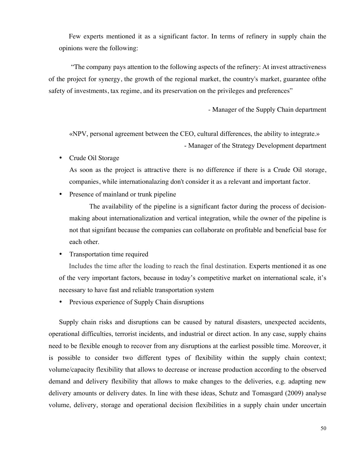Few experts mentioned it as a significant factor. In terms of refinery in supply chain the opinions were the following:

 "The company pays attention to the following aspects of the refinery: At invest attractiveness of the project for synergy, the growth of the regional market, the country's market, guarantee ofthe safety of investments, tax regime, and its preservation on the privileges and preferences"

- Manager of the Supply Chain department

«NPV, personal agreement between the CEO, cultural differences, the ability to integrate.» - Manager of the Strategy Development department

• Crude Oil Storage

As soon as the project is attractive there is no difference if there is a Crude Oil storage, companies, while internationalazing don't consider it as a relevant and important factor.

Presence of mainland or trunk pipeline

The availability of the pipeline is a significant factor during the process of decisionmaking about internationalization and vertical integration, while the owner of the pipeline is not that signifant because the companies can collaborate on profitable and beneficial base for each other.

• Transportation time required

Includes the time after the loading to reach the final destination. Experts mentioned it as one of the very important factors, because in today's competitive market on international scale, it's necessary to have fast and reliable transportation system

• Previous experience of Supply Chain disruptions

Supply chain risks and disruptions can be caused by natural disasters, unexpected accidents, operational difficulties, terrorist incidents, and industrial or direct action. In any case, supply chains need to be flexible enough to recover from any disruptions at the earliest possible time. Moreover, it is possible to consider two different types of flexibility within the supply chain context; volume/capacity flexibility that allows to decrease or increase production according to the observed demand and delivery flexibility that allows to make changes to the deliveries, e.g. adapting new delivery amounts or delivery dates. In line with these ideas, Schutz and Tomasgard (2009) analyse volume, delivery, storage and operational decision flexibilities in a supply chain under uncertain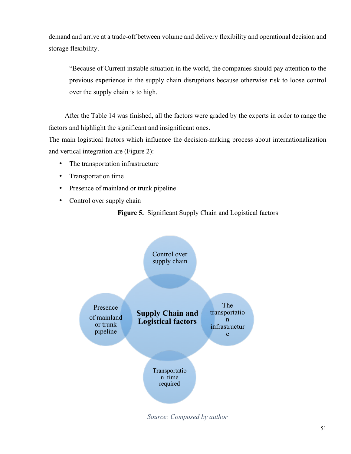demand and arrive at a trade-off between volume and delivery flexibility and operational decision and storage flexibility.

"Because of Current instable situation in the world, the companies should pay attention to the previous experience in the supply chain disruptions because otherwise risk to loose control over the supply chain is to high.

After the Table 14 was finished, all the factors were graded by the experts in order to range the factors and highlight the significant and insignificant ones.

The main logistical factors which influence the decision-making process about internationalization and vertical integration are (Figure 2):

- The transportation infrastructure
- Transportation time
- Presence of mainland or trunk pipeline
- Control over supply chain

**Figure 5.** Significant Supply Chain and Logistical factors



*Source: Composed by author*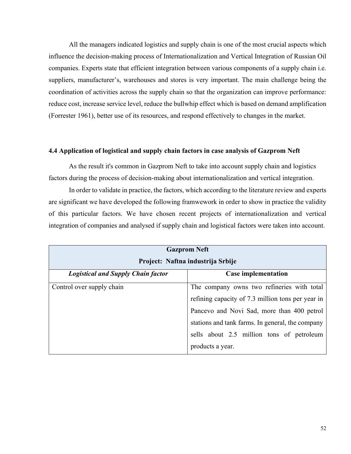All the managers indicated logistics and supply chain is one of the most crucial aspects which influence the decision-making process of Internationalization and Vertical Integration of Russian Oil companies. Experts state that efficient integration between various components of a supply chain i.e. suppliers, manufacturer's, warehouses and stores is very important. The main challenge being the coordination of activities across the supply chain so that the organization can improve performance: reduce cost, increase service level, reduce the bullwhip effect which is based on demand amplification (Forrester 1961), better use of its resources, and respond effectively to changes in the market.

## **4.4 Application of logistical and supply chain factors in case analysis of Gazprom Neft**

As the result it's common in Gazprom Neft to take into account supply chain and logistics factors during the process of decision-making about internationalization and vertical integration.

In order to validate in practice, the factors, which according to the literature review and experts are significant we have developed the following framwework in order to show in practice the validity of this particular factors. We have chosen recent projects of internationalization and vertical integration of companies and analysed if supply chain and logistical factors were taken into account.

| <b>Gazprom Neft</b><br>Project: Naftna industrija Srbije |                                                                                                                                                                                                                                                                    |  |  |  |
|----------------------------------------------------------|--------------------------------------------------------------------------------------------------------------------------------------------------------------------------------------------------------------------------------------------------------------------|--|--|--|
| <b>Logistical and Supply Chain factor</b>                | <b>Case implementation</b>                                                                                                                                                                                                                                         |  |  |  |
| Control over supply chain                                | The company owns two refineries with total<br>refining capacity of 7.3 million tons per year in<br>Pancevo and Novi Sad, more than 400 petrol<br>stations and tank farms. In general, the company<br>sells about 2.5 million tons of petroleum<br>products a year. |  |  |  |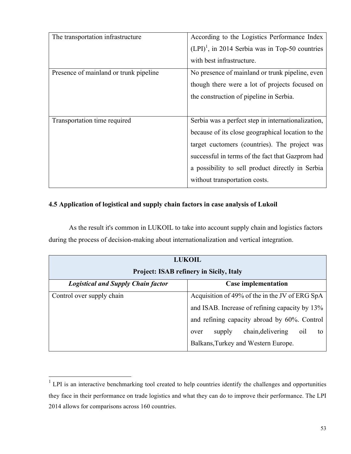| The transportation infrastructure      | According to the Logistics Performance Index                  |
|----------------------------------------|---------------------------------------------------------------|
|                                        | $(LPI)$ <sup>1</sup> , in 2014 Serbia was in Top-50 countries |
|                                        | with best infrastructure.                                     |
| Presence of mainland or trunk pipeline | No presence of mainland or trunk pipeline, even               |
|                                        | though there were a lot of projects focused on                |
|                                        | the construction of pipeline in Serbia.                       |
|                                        |                                                               |
| Transportation time required           | Serbia was a perfect step in internationalization,            |
|                                        | because of its close geographical location to the             |
|                                        | target cuctomers (countries). The project was                 |
|                                        | successful in terms of the fact that Gazprom had              |
|                                        | a possibility to sell product directly in Serbia              |
|                                        | without transportation costs.                                 |

## **4.5 Application of logistical and supply chain factors in case analysis of Lukoil**

As the result it's common in LUKOIL to take into account supply chain and logistics factors during the process of decision-making about internationalization and vertical integration.

| <b>LUKOIL</b><br><b>Project: ISAB refinery in Sicily, Italy</b> |                                                  |  |
|-----------------------------------------------------------------|--------------------------------------------------|--|
| <b>Logistical and Supply Chain factor</b>                       | <b>Case implementation</b>                       |  |
| Control over supply chain                                       | Acquisition of 49% of the in the JV of ERG SpA   |  |
|                                                                 | and ISAB. Increase of refining capacity by 13%   |  |
|                                                                 | and refining capacity abroad by 60%. Control     |  |
|                                                                 | chain, delivering<br>oil<br>supply<br>to<br>over |  |
|                                                                 | Balkans, Turkey and Western Europe.              |  |

 $1$  LPI is an interactive benchmarking tool created to help countries identify the challenges and opportunities they face in their performance on trade logistics and what they can do to improve their performance. The LPI 2014 allows for comparisons across 160 countries.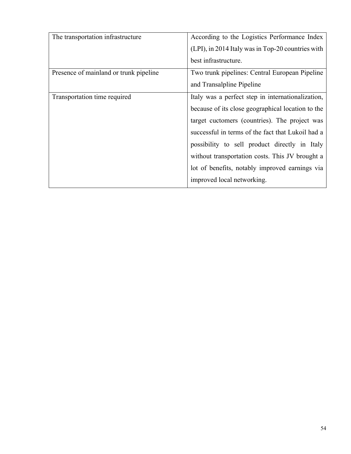| The transportation infrastructure      | According to the Logistics Performance Index      |
|----------------------------------------|---------------------------------------------------|
|                                        | (LPI), in 2014 Italy was in Top-20 countries with |
|                                        | best infrastructure.                              |
| Presence of mainland or trunk pipeline | Two trunk pipelines: Central European Pipeline    |
|                                        | and Transalpline Pipeline                         |
| Transportation time required           | Italy was a perfect step in internationalization, |
|                                        | because of its close geographical location to the |
|                                        | target cuctomers (countries). The project was     |
|                                        | successful in terms of the fact that Lukoil had a |
|                                        | possibility to sell product directly in Italy     |
|                                        | without transportation costs. This JV brought a   |
|                                        | lot of benefits, notably improved earnings via    |
|                                        | improved local networking.                        |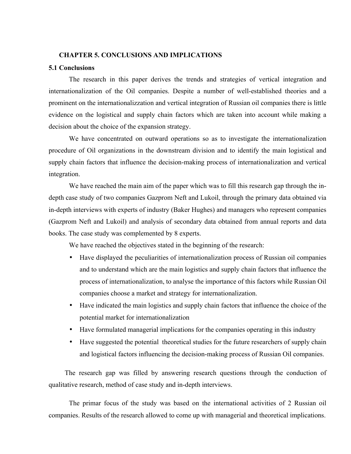#### **CHAPTER 5. CONCLUSIONS AND IMPLICATIONS**

#### **5.1 Conclusions**

The research in this paper derives the trends and strategies of vertical integration and internationalization of the Oil companies. Despite a number of well-established theories and a prominent on the internationalizzation and vertical integration of Russian oil companies there is little evidence on the logistical and supply chain factors which are taken into account while making a decision about the choice of the expansion strategy.

We have concentrated on outward operations so as to investigate the internationalization procedure of Oil organizations in the downstream division and to identify the main logistical and supply chain factors that influence the decision-making process of internationalization and vertical integration.

We have reached the main aim of the paper which was to fill this research gap through the indepth case study of two companies Gazprom Neft and Lukoil, through the primary data obtained via in-depth interviews with experts of industry (Baker Hughes) and managers who represent companies (Gazprom Neft and Lukoil) and analysis of secondary data obtained from annual reports and data books. The case study was complemented by 8 experts.

We have reached the objectives stated in the beginning of the research:

- Have displayed the peculiarities of internationalization process of Russian oil companies and to understand which are the main logistics and supply chain factors that influence the process of internationalization, to analyse the importance of this factors while Russian Oil companies choose a market and strategy for internationalization.
- Have indicated the main logistics and supply chain factors that influence the choice of the potential market for internationalization
- Have formulated managerial implications for the companies operating in this industry
- Have suggested the potential theoretical studies for the future researchers of supply chain and logistical factors influencing the decision-making process of Russian Oil companies.

The research gap was filled by answering research questions through the conduction of qualitative research, method of case study and in-depth interviews.

The primar focus of the study was based on the international activities of 2 Russian oil companies. Results of the research allowed to come up with managerial and theoretical implications.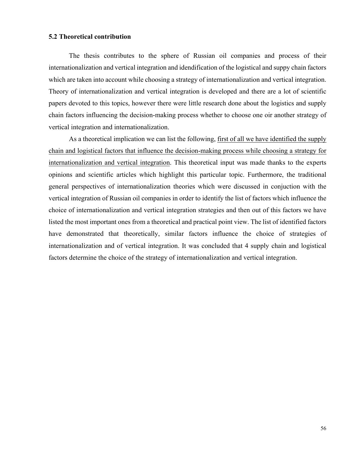#### **5.2 Theoretical contribution**

The thesis contributes to the sphere of Russian oil companies and process of their internationalization and vertical integration and idendification of the logistical and suppy chain factors which are taken into account while choosing a strategy of internationalization and vertical integration. Theory of internationalization and vertical integration is developed and there are a lot of scientific papers devoted to this topics, however there were little research done about the logistics and supply chain factors influencing the decision-making process whether to choose one oir another strategy of vertical integration and internationalization.

As a theoretical implication we can list the following, first of all we have identified the supply chain and logistical factors that influence the decision-making process while choosing a strategy for internationalization and vertical integration. This theoretical input was made thanks to the experts opinions and scientific articles which highlight this particular topic. Furthermore, the traditional general perspectives of internationalization theories which were discussed in conjuction with the vertical integration of Russian oil companies in order to identify the list of factors which influence the choice of internationalization and vertical integration strategies and then out of this factors we have listed the most important ones from a theoretical and practical point view. The list of identified factors have demonstrated that theoretically, similar factors influence the choice of strategies of internationalization and of vertical integration. It was concluded that 4 supply chain and logistical factors determine the choice of the strategy of internationalization and vertical integration.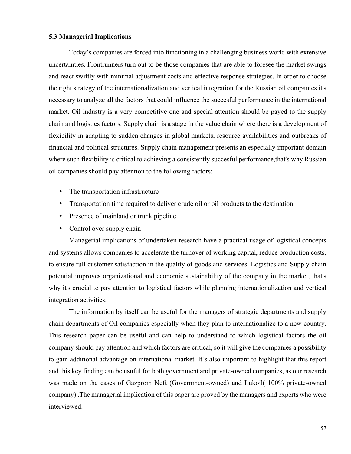#### **5.3 Managerial Implications**

Today's companies are forced into functioning in a challenging business world with extensive uncertainties. Frontrunners turn out to be those companies that are able to foresee the market swings and react swiftly with minimal adjustment costs and effective response strategies. In order to choose the right strategy of the internationalization and vertical integration for the Russian oil companies it's necessary to analyze all the factors that could influence the succesful performance in the international market. Oil industry is a very competitive one and special attention should be payed to the supply chain and logistics factors. Supply chain is a stage in the value chain where there is a development of flexibility in adapting to sudden changes in global markets, resource availabilities and outbreaks of financial and political structures. Supply chain management presents an especially important domain where such flexibility is critical to achieving a consistently succesful performance, that's why Russian oil companies should pay attention to the following factors:

- The transportation infrastructure
- Transportation time required to deliver crude oil or oil products to the destination
- Presence of mainland or trunk pipeline
- Control over supply chain

Managerial implications of undertaken research have a practical usage of logistical concepts and systems allows companies to accelerate the turnover of working capital, reduce production costs, to ensure full customer satisfaction in the quality of goods and services. Logistics and Supply chain potential improves organizational and economic sustainability of the company in the market, that's why it's crucial to pay attention to logistical factors while planning internationalization and vertical integration activities.

The information by itself can be useful for the managers of strategic departments and supply chain departments of Oil companies especially when they plan to internationalize to a new country. This research paper can be useful and can help to understand to which logistical factors the oil company should pay attention and which factors are critical, so it will give the companies a possibility to gain additional advantage on international market. It's also important to highlight that this report and this key finding can be usuful for both government and private-owned companies, as our research was made on the cases of Gazprom Neft (Government-owned) and Lukoil( 100% private-owned company) .The managerial implication of this paper are proved by the managers and experts who were interviewed.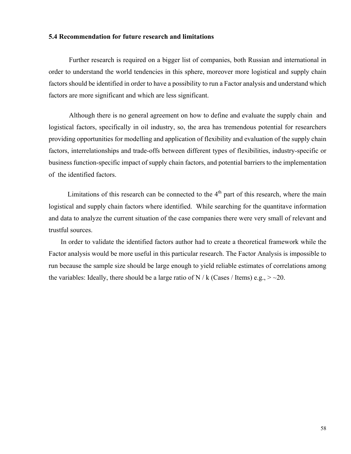#### **5.4 Recommendation for future research and limitations**

Further research is required on a bigger list of companies, both Russian and international in order to understand the world tendencies in this sphere, moreover more logistical and supply chain factors should be identified in order to have a possibility to run a Factor analysis and understand which factors are more significant and which are less significant.

Although there is no general agreement on how to define and evaluate the supply chain and logistical factors, specifically in oil industry, so, the area has tremendous potential for researchers providing opportunities for modelling and application of flexibility and evaluation of the supply chain factors, interrelationships and trade-offs between different types of flexibilities, industry-specific or business function-specific impact of supply chain factors, and potential barriers to the implementation of the identified factors.

Limitations of this research can be connected to the  $4<sup>th</sup>$  part of this research, where the main logistical and supply chain factors where identified. While searching for the quantitave information and data to analyze the current situation of the case companies there were very small of relevant and trustful sources.

 In order to validate the identified factors author had to create a theoretical framework while the Factor analysis would be more useful in this particular research. The Factor Analysis is impossible to run because the sample size should be large enough to yield reliable estimates of correlations among the variables: Ideally, there should be a large ratio of N / k (Cases / Items) e.g.,  $>$  ~20.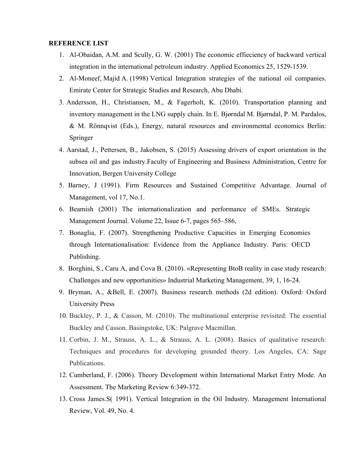#### **REFERENCE LIST**

- 1. Al-Obaidan, A.M. and Scully, G. W. (2001) The economic effieciency of backward vertical integration in the international petroleum industry. Applied Economics 25, 1529-1539.
- 2. Al-Moneef, Majid A. (1998) Vertical Integration strategies of the national oil companies. Emirate Center for Strategic Studies and Research, Abu Dhabi.
- 3. Andersson, H., Christiansen, M., & Fagerholt, K. (2010). Transportation planning and inventory management in the LNG supply chain. In E. Bjørndal M. Bjørndal, P. M. Pardalos, & M. Rönnqvist (Eds.), Energy, natural resources and environmental economics Berlin: Springer
- 4. Aarstad, J., Pettersen, B., Jakobsen, S. (2015) Assessing drivers of export orientation in the subsea oil and gas industry.Faculty of Engineering and Business Administration, Centre for Innovation, Bergen University College
- 5. Barney, J (1991). Firm Resources and Sustained Competitive Advantage. Journal of Management, vol 17, No.1.
- 6. Beamish (2001) The internationalization and performance of SMEs. Strategic Management Journal. Volume 22, Issue 6-7, pages 565–586,
- 7. Bonaglia, F. (2007). Strengthening Productive Capacities in Emerging Economies through Internationalisation: Evidence from the Appliance Industry. Paris: OECD Publishing.
- 8. Borghini, S., Caru A, and Cova B. (2010). «Representing BtoB reality in case study research: Challenges and new opportunities» Industrial Marketing Management, 39, 1, 16-24.
- 9. Bryman, A., &Bell, E. (2007). Business research methods (2d edition). Oxford: Oxford University Press
- 10. Buckley, P. J., & Casson, M. (2010). The multinational enterprise revisited: The essential Buckley and Casson. Basingstoke, UK: Palgrave Macmillan.
- 11. Corbin, J. M., Strauss, A. L., & Strauss, A. L. (2008). Basics of qualitative research: Techniques and procedures for developing grounded theory. Los Angeles, CA: Sage Publications.
- 12. Cumberland, F. (2006). Theory Development within International Market Entry Mode. An Assessment. The Marketing Review 6:349-372.
- 13. Cross James.S( 1991). Vertical Integration in the Oil Industry. Management International Review, Vol. 49, No. 4.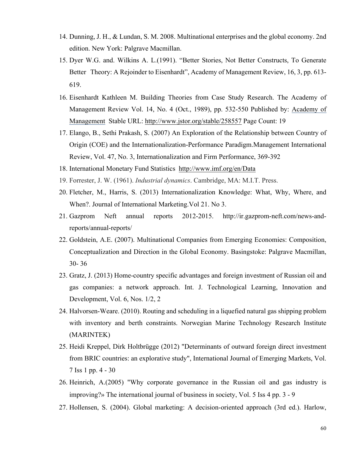- 14. Dunning, J. H., & Lundan, S. M. 2008. Multinational enterprises and the global economy. 2nd edition. New York: Palgrave Macmillan.
- 15. Dyer W.G. and. Wilkins A. L.(1991). "Better Stories, Not Better Constructs, To Generate Better Theory: A Rejoinder to Eisenhardt", Academy of Management Review, 16, 3, pp. 613-619.
- 16. Eisenhardt Kathleen M. Building Theories from Case Study Research. The Academy of Management Review Vol. 14, No. 4 (Oct., 1989), pp. 532-550 Published by: Academy of Management Stable URL: http://www.jstor.org/stable/258557 Page Count: 19
- 17. Elango, B., Sethi Prakash, S. (2007) An Exploration of the Relationship between Country of Origin (COE) and the Internationalization-Performance Paradigm.Management International Review, Vol. 47, No. 3, Internationalization and Firm Performance, 369-392
- 18. International Monetary Fund Statistics http://www.imf.org/en/Data
- 19. Forrester, J. W. (1961). *Industrial dynamics*. Cambridge, MA: M.I.T. Press.
- 20. Fletcher, M., Harris, S. (2013) Internationalization Knowledge: What, Why, Where, and When?. Journal of International Marketing.Vol 21. No 3.
- 21. Gazprom Neft annual reports 2012-2015. http://ir.gazprom-neft.com/news-andreports/annual-reports/
- 22. Goldstein, A.E. (2007). Multinational Companies from Emerging Economies: Composition, Conceptualization and Direction in the Global Economy. Basingstoke: Palgrave Macmillan, 30- 36
- 23. Gratz, J. (2013) Home-country specific advantages and foreign investment of Russian oil and gas companies: a network approach. Int. J. Technological Learning, Innovation and Development, Vol. 6, Nos. 1/2, 2
- 24. Halvorsen-Weare. (2010). Routing and scheduling in a liquefied natural gas shipping problem with inventory and berth constraints. Norwegian Marine Technology Research Institute (MARINTEK)
- 25. Heidi Kreppel, Dirk Holtbrügge (2012) "Determinants of outward foreign direct investment from BRIC countries: an explorative study", International Journal of Emerging Markets, Vol. 7 Iss 1 pp. 4 - 30
- 26. Heinrich, A.(2005) "Why corporate governance in the Russian oil and gas industry is improving?» The international journal of business in society, Vol. 5 Iss 4 pp. 3 - 9
- 27. Hollensen, S. (2004). Global marketing: A decision-oriented approach (3rd ed.). Harlow,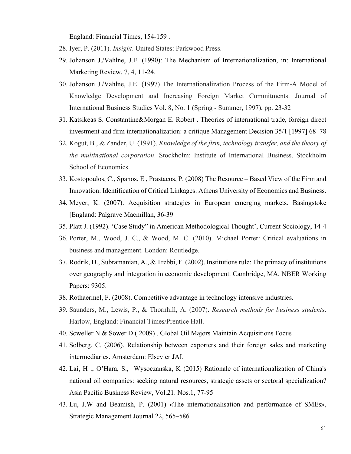England: Financial Times, 154-159 .

- 28. Iyer, P. (2011). *Insight*. United States: Parkwood Press.
- 29. Johanson J./Vahlne, J.E. (1990): The Mechanism of Internationalization, in: International Marketing Review, 7, 4, 11-24.
- 30. Johanson J./Vahlne, J.E. (1997) The Internationalization Process of the Firm-A Model of Knowledge Development and Increasing Foreign Market Commitments. Journal of International Business Studies Vol. 8, No. 1 (Spring - Summer, 1997), pp. 23-32
- 31. Katsikeas S. Constantine&Morgan E. Robert . Theories of international trade, foreign direct investment and firm internationalization: a critique Management Decision 35/1 [1997] 68–78
- 32. Kogut, B., & Zander, U. (1991). *Knowledge of the firm, technology transfer, and the theory of the multinational corporation*. Stockholm: Institute of International Business, Stockholm School of Economics.
- 33. Kostopoulos, C., Spanos, E , Prastacos, P. (2008) The Resource Based View of the Firm and Innovation: Identification of Critical Linkages. Athens University of Economics and Business.
- 34. Meyer, K. (2007). Acquisition strategies in European emerging markets. Basingstoke [England: Palgrave Macmillan, 36-39
- 35. Platt J. (1992). 'Case Study" in American Methodological Thought', Current Sociology, 14-4
- 36. Porter, M., Wood, J. C., & Wood, M. C. (2010). Michael Porter: Critical evaluations in business and management. London: Routledge.
- 37. Rodrik, D., Subramanian, A., & Trebbi, F. (2002). Institutions rule: The primacy of institutions over geography and integration in economic development. Cambridge, MA, NBER Working Papers: 9305.
- 38. Rothaermel, F. (2008). Competitive advantage in technology intensive industries.
- 39. Saunders, M., Lewis, P., & Thornhill, A. (2007). *Research methods for business students*. Harlow, England: Financial Times/Prentice Hall.
- 40. Scweller N & Sower D ( 2009) . Global Oil Majors Maintain Acquisitions Focus
- 41. Solberg, C. (2006). Relationship between exporters and their foreign sales and marketing intermediaries. Amsterdam: Elsevier JAI.
- 42. Lai, H ., O'Hara, S., Wysoczanska, K (2015) Rationale of internationalization of China's national oil companies: seeking natural resources, strategic assets or sectoral specialization? Asia Pacific Business Review, Vol.21. Nos.1, 77-95
- 43. Lu, J.W and Beamish, P. (2001) «The internationalisation and performance of SMEs», Strategic Management Journal 22, 565–586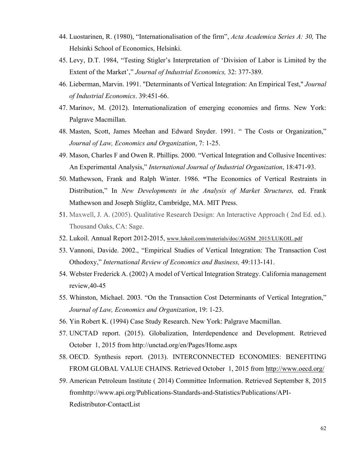- 44. Luostarinen, R. (1980), "Internationalisation of the firm", *Acta Academica Series A: 30,* The Helsinki School of Economics, Helsinki.
- 45. Levy, D.T. 1984, "Testing Stigler's Interpretation of 'Division of Labor is Limited by the Extent of the Market'," *Journal of Industrial Economics,* 32: 377-389.
- 46. Lieberman, Marvin. 1991. "Determinants of Vertical Integration: An Empirical Test," *Journal of Industrial Economics*. 39:451-66.
- 47. Marinov, M. (2012). Internationalization of emerging economies and firms. New York: Palgrave Macmillan.
- 48. Masten, Scott, James Meehan and Edward Snyder. 1991. " The Costs or Organization," *Journal of Law, Economics and Organization*, 7: 1-25.
- 49. Mason, Charles F and Owen R. Phillips. 2000. "Vertical Integration and Collusive Incentives: An Experimental Analysis," *International Journal of Industrial Organization*, 18:471-93.
- 50. Mathewson, Frank and Ralph Winter. 1986. **"**The Economics of Vertical Restraints in Distribution," In *New Developments in the Analysis of Market Structures,* ed. Frank Mathewson and Joseph Stiglitz, Cambridge, MA. MIT Press.
- 51. Maxwell, J. A. (2005). Qualitative Research Design: An Interactive Approach ( 2nd Ed. ed.). Thousand Oaks, CA: Sage.
- 52. Lukoil. Annual Report 2012-2015, www.lukoil.com/materials/doc/AGSM\_2015/LUKOIL.pdf
- 53. Vannoni, Davide. 2002., "Empirical Studies of Vertical Integration: The Transaction Cost Othodoxy," *International Review of Economics and Business,* 49:113-141.
- 54. Webster Frederick A. (2002) A model of Vertical Integration Strategy. Сalifornia management review,40-45
- 55. Whinston, Michael. 2003. "On the Transaction Cost Determinants of Vertical Integration," *Journal of Law, Economics and Organization*, 19: 1-23.
- 56. Yin Robert K. (1994) Case Study Research. New York: Palgrave Macmillan.
- 57. UNCTAD report. (2015). Globalization, Interdependence and Development. Retrieved October 1, 2015 from http://unctad.org/en/Pages/Home.aspx
- 58. OECD. Synthesis report. (2013). INTERCONNECTED ECONOMIES: BENEFITING FROM GLOBAL VALUE CHAINS. Retrieved October 1, 2015 from http://www.oecd.org/
- 59. American Petroleum Institute ( 2014) Committee Information. Retrieved September 8, 2015 fromhttp://www.api.org/Publications-Standards-and-Statistics/Publications/API-Redistributor-ContactList